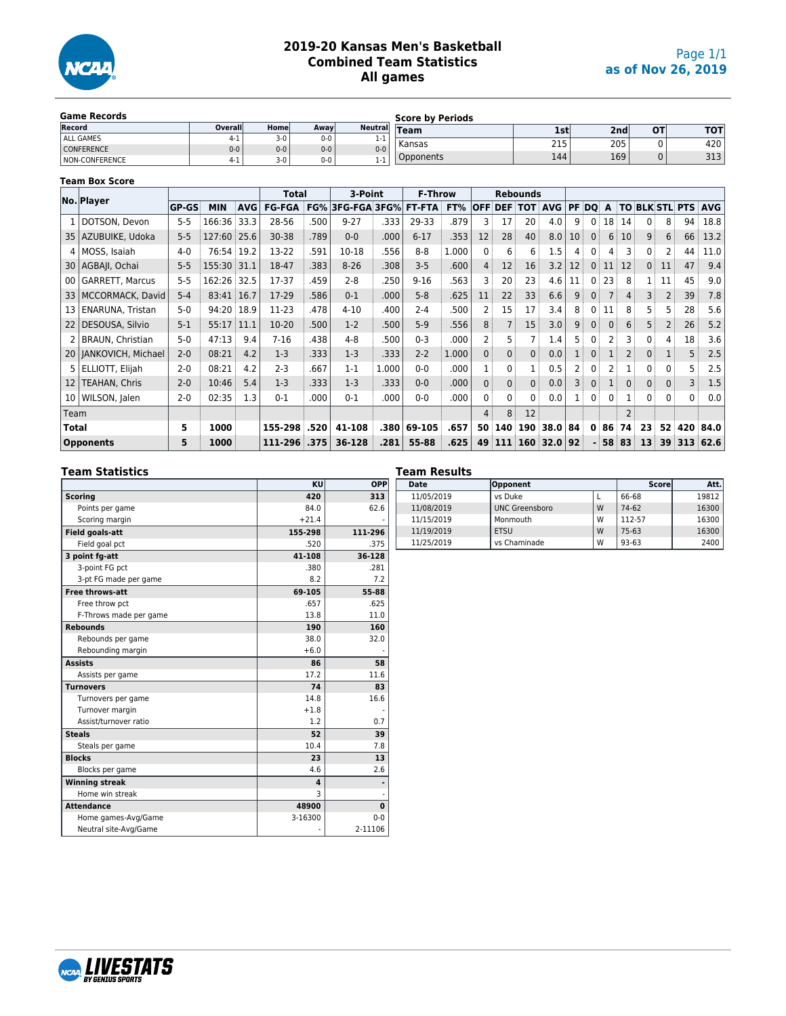

#### **2019-20 Kansas Men's Basketball Combined Team Statistics All games**

| <b>Game Records</b> |          |       |       |                 | <b>Score by Periods</b> |     |                  |    |     |
|---------------------|----------|-------|-------|-----------------|-------------------------|-----|------------------|----|-----|
| <b>Record</b>       | Overalll | Homel | Away  | <b>Neutrall</b> | $T$ eam                 | 1st | 2 <sub>nd</sub>  | ΟТ | тот |
| ALL GAMES           |          | $3-0$ | $0-0$ | -11             |                         |     |                  |    |     |
| CONFERENCE          | $0 - 0$  | $0-0$ | $0-0$ | $0 - 0$         | l Kansas                | 215 | 205              |    | 420 |
| NON-CONFERENCE      |          | $3-0$ | $0-0$ | -11             | Opponents               | 144 | 169 <sub>1</sub> |    | 313 |

#### **Team Box Score**

|                 | No. Player              |              |             | Total      |               | 3-Point |                            | <b>F-Throw</b> |          |       |                | <b>Rebounds</b>    |               |            |                 |                |                 |                |                 |                   |                |                           |
|-----------------|-------------------------|--------------|-------------|------------|---------------|---------|----------------------------|----------------|----------|-------|----------------|--------------------|---------------|------------|-----------------|----------------|-----------------|----------------|-----------------|-------------------|----------------|---------------------------|
|                 |                         | <b>GP-GS</b> | <b>MIN</b>  | <b>AVG</b> | <b>FG-FGA</b> | FG%     | <b>3FG-FGA 3FG% FT-FTA</b> |                |          | FT%   |                | <b>OFF DEF TOT</b> |               | <b>AVG</b> | PF DO           |                | A               |                |                 |                   |                | <b>TO BLK STL PTS AVG</b> |
|                 | DOTSON, Devon           | $5 - 5$      | 166:36      | 33.3       | 28-56         | .500    | $9 - 27$                   | .333           | 29-33    | .879  |                | 17                 | 20            | 4.0        | 9               |                | 18 <sup>3</sup> | 14             |                 | 8                 | 94             | 18.8                      |
| 35              | AZUBUIKE, Udoka         | $5 - 5$      | 127:60 25.6 |            | $30 - 38$     | .789    | $0-0$                      | .000           | $6 - 17$ | .353  | 12             | 28                 | 40            | 8.0        | 10 <sup>1</sup> | 0 <sup>1</sup> | 6               | 10             | 9               | 6                 | 66             | 13.2                      |
|                 | 4   MOSS, Isaiah        | $4 - 0$      | 76:54 19.2  |            | 13-22         | .591    | 10-18                      | .556           | $8 - 8$  | 1.000 | $\mathbf{0}$   | 6                  | 6             | 1.5        | 4               |                | 4               | 3              | 0               |                   | 44             | 11.0                      |
| 30 <sub>1</sub> | AGBAII, Ochai           | $5 - 5$      | 155:30 31.1 |            | 18-47         | .383    | $8 - 26$                   | .308           | $3 - 5$  | .600  | 4              | 12                 | 16            | 3.2        | 12              | $\overline{0}$ | 11              | 12             | 0 <sup>1</sup>  | 11                | 47             | 9.4                       |
| 00              | GARRETT, Marcus         | $5 - 5$      | 162:26 32.5 |            | 17-37         | .459    | $2 - 8$                    | .250           | $9 - 16$ | .563  |                | 20                 | 23            | 4.6        | 11              |                | 23              | 8              | 1:              | 11                | 45             | 9.0                       |
| 33              | MCCORMACK, David        | $5 - 4$      | 83:41 16.7  |            | 17-29         | .586    | $0 - 1$                    | .000           | $5 - 8$  | .625  | 11             | 22                 | 33            | 6.6        | 9 <sup>1</sup>  | 0 <sup>1</sup> |                 | 4:             | 3               | 2                 | 39             | 7.8                       |
| 13              | ENARUNA, Tristan        | $5-0$        | 94:20 18.9  |            | 11-23         | .478    | $4 - 10$                   | .400           | $2 - 4$  | .500  |                | 15                 | 17            | 3.4        | 8               | $\mathbf{0}$   | 11              | 8              | 5               | 5.                | 28             | 5.6                       |
| 22              | DESOUSA, Silvio         | $5 - 1$      | 55:17 11.1  |            | $10-20$       | .500    | $1-2$                      | .500           | $5-9$    | .556  | 8              | $\overline{7}$     | 15            | 3.0        | 9:              | 0 <sup>1</sup> | $\mathbf{0}$    | 6              | 5 <sup>3</sup>  | $\overline{2}$    | 26             | 5.2                       |
| 2               | <b>BRAUN, Christian</b> | $5-0$        | 47:13       | 9.4        | $7 - 16$      | .438    | 4-8                        | .500           | $0 - 3$  | .000  |                | 5:                 |               | 1.4        | 5.              |                |                 | 3              | 0 <sup>1</sup>  | 4                 | 18             | 3.6                       |
|                 | 20   JANKOVICH, Michael | $2 - 0$      | 08:21       | 4.2        | $1-3$         | .333    | $1-3$                      | .333           | $2 - 2$  | 1.000 | $\Omega$       | $\mathbf{0}$       | $\mathbf{0}$  | 0.0        |                 | 0 <sup>1</sup> |                 | 2 :            | $\mathbf{0}$    | $\mathbf{1}$      | 5 <sup>1</sup> | 2.5                       |
| 5.              | ELLIOTT, Elijah         | $2 - 0$      | 08:21       | 4.2        | $2 - 3$       | .667    | $1 - 1$                    | 1.000          | $0 - 0$  | .000  |                | $\mathbf{0}$       |               | 0.5        | 2 !             |                |                 |                | $\Omega$        | $\mathbf{0}$      |                | 2.5                       |
| 12              | TEAHAN, Chris           | $2 - 0$      | 10:46       | 5.4        | $1-3$         | .333    | $1-3$                      | .333           | $0 - 0$  | .000  | $\mathbf{0}$   | $\mathbf{0}$       | $\mathbf{0}$  | 0.0        | 3 !             | 0:             |                 | $\Omega$       | 0 <sup>1</sup>  | $\mathbf{0}$      | 3              | 1.5                       |
| 10 <sub>1</sub> | WILSON, Jalen           | $2 - 0$      | 02:35       | 1.3        | $0 - 1$       | .000    | $0 - 1$                    | .000           | $0-0$    | .000  | 0 <sup>1</sup> | $\overline{0}$     | 0             | 0.0        |                 | 0 <sup>1</sup> | 0 <sup>1</sup>  |                | 0 <sup>1</sup>  | $0^{\frac{1}{2}}$ | 0              | 0.0                       |
| Team            |                         |              |             |            |               |         |                            |                |          |       | 4              | 8                  | 12            |            |                 |                |                 | $\overline{2}$ |                 |                   |                |                           |
| <b>Total</b>    |                         | 5            | 1000        |            | 155-298       | .520    | 41-108                     | .380           | 69-105   | .657  | 50             | 140                | $190^{\circ}$ | 38.0 84    |                 | 0              | 86              | 74             | 23 <sup>1</sup> | 52                | 420            | 84.0                      |
|                 | <b>Opponents</b>        | 5            | 1000        |            | 111-296 .375  |         | 36-128                     | .281           | 55-88    | .625  | 49             | 111                | 160           | $32.0$ 92  |                 |                | 58 83           |                | 13 <sup>3</sup> | 39                | 313            | 62.6                      |

#### **Team Statistics**

|                        | KU      | <b>OPP</b>   |
|------------------------|---------|--------------|
| <b>Scoring</b>         | 420     | 313          |
| Points per game        | 84.0    | 62.6         |
| Scoring margin         | $+21.4$ |              |
| <b>Field goals-att</b> | 155-298 | 111-296      |
| Field goal pct         | .520    | .375         |
| 3 point fg-att         | 41-108  | 36-128       |
| 3-point FG pct         | .380    | .281         |
| 3-pt FG made per game  | 8.2     | 7.2          |
| Free throws-att        | 69-105  | 55-88        |
| Free throw pct         | .657    | .625         |
| F-Throws made per game | 13.8    | 11.0         |
| <b>Rebounds</b>        | 190     | 160          |
| Rebounds per game      | 38.0    | 32.0         |
| Rebounding margin      | $+6.0$  |              |
| <b>Assists</b>         | 86      | 58           |
| Assists per game       | 17.2    | 11.6         |
| <b>Turnovers</b>       | 74      | 83           |
| Turnovers per game     | 14.8    | 16.6         |
| Turnover margin        | $+1.8$  |              |
| Assist/turnover ratio  | 1.2     | 0.7          |
| <b>Steals</b>          | 52      | 39           |
| Steals per game        | 10.4    | 7.8          |
| <b>Blocks</b>          | 23      | 13           |
| Blocks per game        | 4.6     | 2.6          |
| <b>Winning streak</b>  | 4       |              |
| Home win streak        | 3       |              |
| <b>Attendance</b>      | 48900   | $\mathbf{0}$ |
| Home games-Avg/Game    | 3-16300 | $0 - 0$      |
| Neutral site-Avg/Game  |         | 2-11106      |

#### **Team Results**

| Date       | Opponent              |   | Score   | Att.  |
|------------|-----------------------|---|---------|-------|
| 11/05/2019 | vs Duke               |   | 66-68   | 19812 |
| 11/08/2019 | <b>UNC Greensboro</b> | W | 74-62   | 16300 |
| 11/15/2019 | Monmouth              | W | 112-57  | 16300 |
| 11/19/2019 | <b>ETSU</b>           | W | $75-63$ | 16300 |
| 11/25/2019 | vs Chaminade          | W | 93-63   | 2400  |

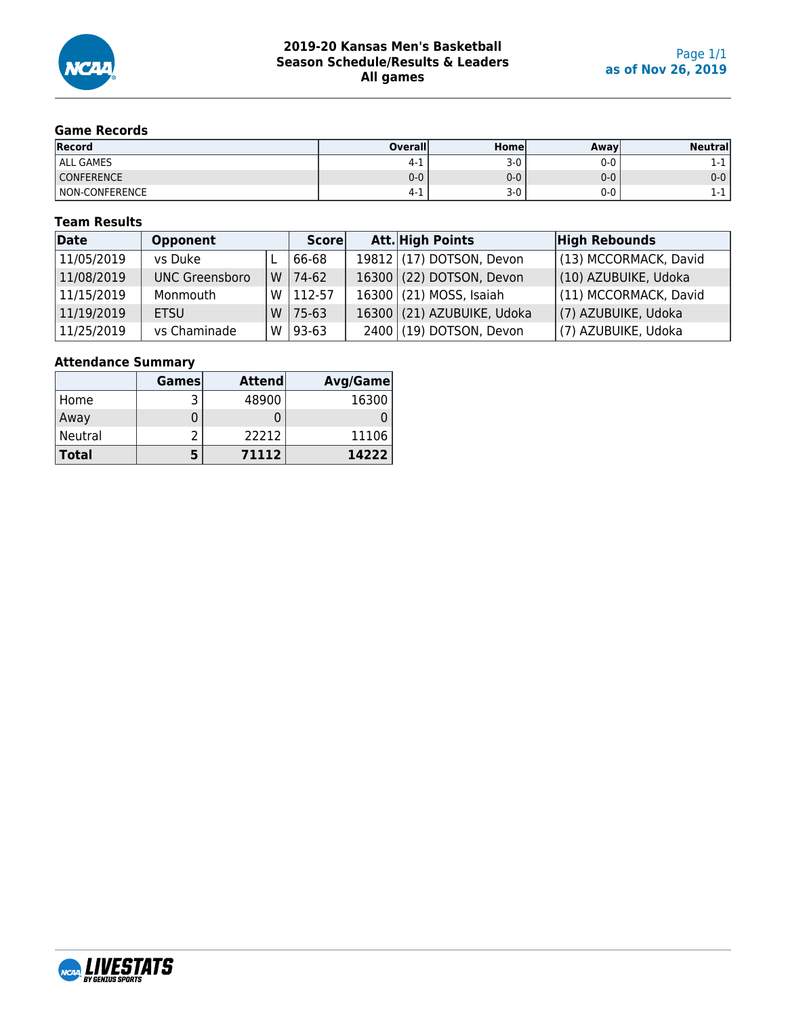

## **Game Records**

| <b>Record</b>     | <b>Overall</b> | Homel | Awav  | <b>Neutrall</b> |
|-------------------|----------------|-------|-------|-----------------|
| <b>ALL GAMES</b>  | 4-1            | $3-0$ | 0-0   |                 |
| <b>CONFERENCE</b> | 0-0            | $0-0$ | $0-0$ | $0 - 0$         |
| NON-CONFERENCE    | 4-⊥            | $3-0$ | 0-0   |                 |

#### **Team Results**

| Date       | <b>Opponent</b>       |   | <b>Score</b> | Att. High Points             | <b>High Rebounds</b>  |
|------------|-----------------------|---|--------------|------------------------------|-----------------------|
| 11/05/2019 | vs Duke               |   | 66-68        | 19812 $(17)$ DOTSON, Devon   | (13) MCCORMACK, David |
| 11/08/2019 | <b>UNC Greensboro</b> | W | $74-62$      | $16300$ (22) DOTSON, Devon   | (10) AZUBUIKE, Udoka  |
| 11/15/2019 | Monmouth              | w | 112-57       | 16300 (21) MOSS, Isaiah      | (11) MCCORMACK, David |
| 11/19/2019 | <b>ETSU</b>           | W | $75-63$      | $16300$ (21) AZUBUIKE, Udoka | (7) AZUBUIKE, Udoka   |
| 11/25/2019 | vs Chaminade          | W | $93 - 63$    | 2400 (19) DOTSON, Devon      | (7) AZUBUIKE, Udoka   |

## **Attendance Summary**

|              | <b>Games</b> | <b>Attend</b> | Avg/Game |
|--------------|--------------|---------------|----------|
| ، Home       |              | 48900         | 16300    |
| Away         |              |               |          |
| Neutral      |              | 22212         | 11106    |
| <b>Total</b> |              | 71112         | 14222    |

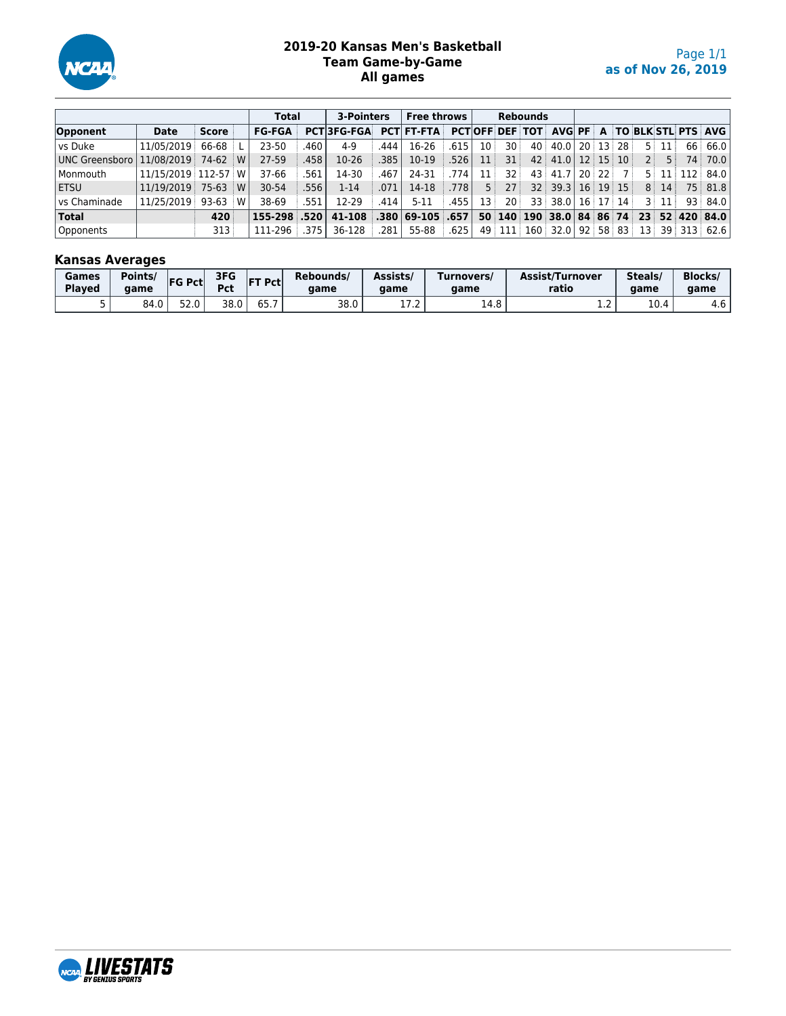

#### **2019-20 Kansas Men's Basketball Team Game-by-Game All games**

|                |                     |       |     | <b>Total</b>     | 3-Pointers |                          | Free throws | <b>Rebounds</b>   |        |                 |                 |  |                                                   |  |    |                |                  |                                     |
|----------------|---------------------|-------|-----|------------------|------------|--------------------------|-------------|-------------------|--------|-----------------|-----------------|--|---------------------------------------------------|--|----|----------------|------------------|-------------------------------------|
| Opponent       | <b>Date</b>         | Score |     | <b>FG-FGA</b>    |            | <b>PCT3FG-FGA</b>        |             | <b>PCT FT-FTA</b> |        |                 |                 |  | <b>PCTOFF DEF TOT AVG PF A TO BLK STL PTS AVG</b> |  |    |                |                  |                                     |
| l vs Duke      | 11/05/2019 66-68 L  |       |     | 23-50            | .460       | $4-9$                    | .444        | 16-26             | .615   | 10 <sup>3</sup> | 30 <sup>1</sup> |  | $40$ 40.0 20 13 28                                |  |    |                | 5:11:            | 66 66.0                             |
| UNC Greensboro | 11/08/2019 74-62 W  |       |     | $27-59$          | .458       | $10-26$                  | .385        | 10-19             | ا 526. | 11              | 31              |  | $42$ 41.0 12 15 10                                |  |    | 2 <sup>1</sup> | 5 :              | 74 70.0                             |
| l Monmouth     | 11/15/2019 112-57 W |       |     | 37-66            | 561        | 14-30                    | .467        | 24-31             | .774   | 11              | 32 <sup>3</sup> |  | 43 41.7 20 22                                     |  | 7: |                |                  | $5 \mid 11 \mid 112 \mid 84.0 \mid$ |
| l ETSU         | 11/19/2019 75-63 W  |       |     | $30 - 54$        | .556       | $1 - 14$                 | .071        | 14-18             | .778   | 5:              | 27 <sup>3</sup> |  | $32$ 39.3 16 19 15                                |  |    |                | 8:14:            | 75 81.8                             |
| l vs Chaminade | 11/25/2019 93-63    |       | : W | 38-69            | .551       | 12-29                    | .414        | $5 - 11$          | .455   | 13:             | 20:             |  | $33 \mid 38.0 \mid 16 \mid 17 \mid 14 \mid$       |  |    |                | $3 \mid 11 \mid$ | 93   84.0                           |
| <b>Total</b>   |                     | 420   |     | $155 - 298$ .520 |            | $41-108$ .380 69-105 657 |             |                   |        |                 |                 |  | 50 140 190 38.0 84 86 74 23 52 420 84.0           |  |    |                |                  |                                     |
| Opponents      |                     | 313   |     | 111-296 375      |            | 36-128                   | .281        | 55-88             | ا 625. |                 | 49 111          |  | $160$ 32.0 92 58 83                               |  |    |                |                  | $13$ 39 313 62.6                    |

## **Kansas Averages**

| Games<br><b>Played</b> | Points/<br>aame | <b>FG Pctl</b> | 3FG<br>D <sub>cf</sub><br>๊ | IF1<br>T Pctl | Rebounds/<br>aame | Assists/<br>aame   | Turnovers/<br>aame | <b>Assist/Turnover</b><br>ratio | Steals/<br>aame                 | <b>Blocks</b><br>aame |
|------------------------|-----------------|----------------|-----------------------------|---------------|-------------------|--------------------|--------------------|---------------------------------|---------------------------------|-----------------------|
|                        | 84.0            | 520<br>32.U    | 38.0                        | JJ. <i>I</i>  | 38.0              | $-1$<br>. <i>.</i> | 14.8               | . . <u>.</u>                    | $\sim$<br>$\mathbf{u}$<br>⊥∪. ⊣ | 4.6                   |

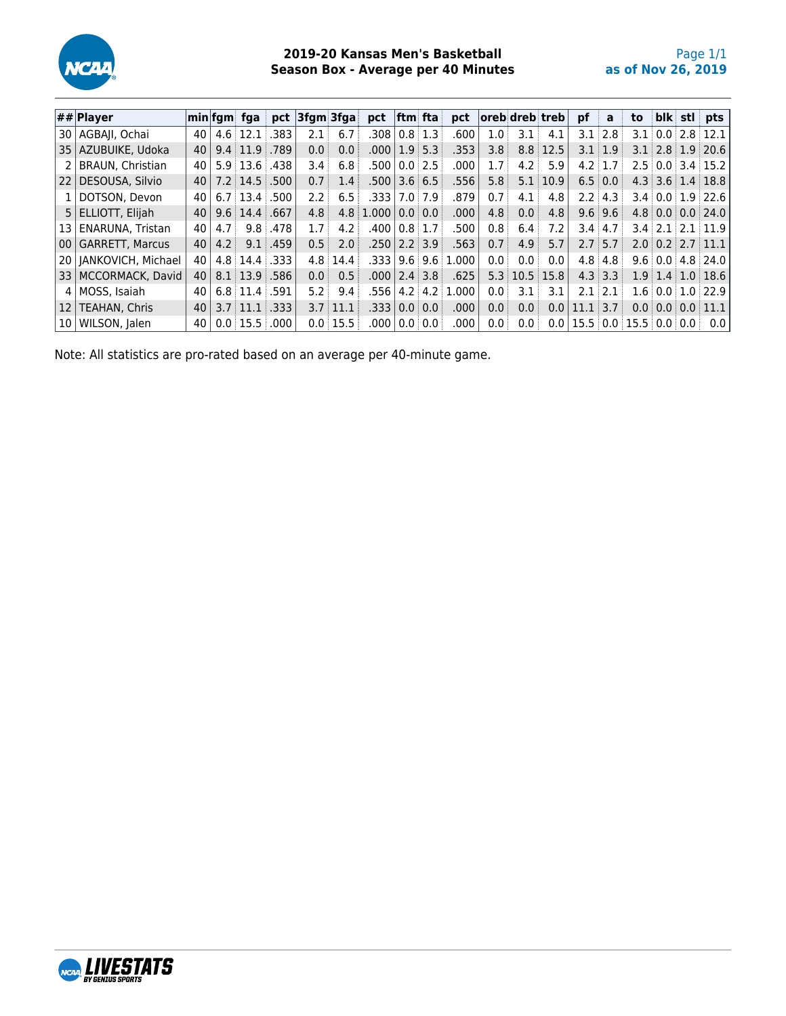

#### **2019-20 Kansas Men's Basketball Season Box - Average per 40 Minutes**

|      | $ \# \# $ Player        |    |     | min fgm  fga                        | pct  | $ 3$ fgm $ 3$ fga $ $ |                | pct             | lftm fta                          |     | pct       |                  |                                           | loreb dreb treb | pf                                                              | a             | to | blk | stl pts                                                |
|------|-------------------------|----|-----|-------------------------------------|------|-----------------------|----------------|-----------------|-----------------------------------|-----|-----------|------------------|-------------------------------------------|-----------------|-----------------------------------------------------------------|---------------|----|-----|--------------------------------------------------------|
| 30 I | AGBAII, Ochai           | 40 |     | $4.6 \pm 12.1$                      | 383  | 2.1                   | 6.7            | .308            | $0.8 \, 1.3$                      |     | .600      | 1.0 <sup>1</sup> | 3.1                                       | 4.1             |                                                                 | $3.1 \pm 2.8$ |    |     | $3.1 \,   \, 0.0 \,   \, 2.8 \,   \, 12.1$             |
| 35   | AZUBUIKE, Udoka         | 40 |     | $9.4 \pm 11.9$                      | .789 | 0.0                   | 0.0            | .000.           | 1.9:5.3                           |     | .353      | 3.8 <sup>1</sup> |                                           | $8.8$ 12.5      |                                                                 | $3.1 \pm 1.9$ |    |     | $3.1$ 2.8 1.9 20.6                                     |
|      | <b>BRAUN, Christian</b> | 40 |     | $5.9 \, 13.6$                       | .438 | $3.4^{\circ}$         | 6.8            | .500            | 0.0 2.5                           |     | .000      |                  | 4.2                                       | 5.9             | $4.2 \pm 1.7$                                                   |               |    |     | $2.5 \pm 0.0 \pm 3.4 \pm 15.2$                         |
| 22   | DESOUSA, Silvio         | 40 |     | $7.2 \, \text{14.5} \, \text{.500}$ |      | 0.7                   | 1.4            | .500            | $3.6 \, 6.5$                      |     | .556      | 5.8 <sup>1</sup> | 5.1                                       | 10.9            |                                                                 | $6.5 \pm 0.0$ |    |     | $4.3 \, \text{3.6} \, \text{1.4} \, \text{18.8}$       |
|      | DOTSON, Devon           | 40 |     | $6.7 \, 13.4$                       | .500 | 2.2                   | 6.5            | .333            | 7.017.9                           |     | .879      | 0.7              | 4.1                                       | 4.8             |                                                                 | $2.2 \pm 4.3$ |    |     | $3.4 \pm 0.0 \pm 1.9 \pm 22.6$                         |
|      | 5 ELLIOTT, Elijah       | 40 |     | $9.6 \, 14.4 \, 0.667$              |      | 4.8 <sup>1</sup>      |                | $4.8 \pm 1.000$ | $\overline{0.0}$ $\overline{0.0}$ |     | .000      | 4.8 <sup>1</sup> | 0.0                                       | 4.8             |                                                                 | $9.6 \pm 9.6$ |    |     | $4.8 \pm 0.0 \pm 0.0 \pm 24.0$                         |
| 13   | <b>ENARUNA, Tristan</b> | 40 | 4.7 | 9.8 <sup>1</sup>                    | .478 | 1.7                   | 4.2            | .400            | 0.8 1.7                           |     | .500      | 0.8 <sup>1</sup> | 6.4                                       | 7.2             | $3.4 \pm 4.7$                                                   |               |    |     | $3.4$ 2.1 2.1 11.9                                     |
| 00   | l GARRETT. Marcus       | 40 | 4.2 | 9.1                                 | .459 | 0.5                   | 2.0            | .250            | 2.2 3.9                           |     | .563      | 0.7              | 4.9                                       | 5.7             |                                                                 | $2.7 \pm 5.7$ |    |     | $2.0 \, \text{ } 0.2 \, \text{ } 2.7 \, \text{ } 11.1$ |
| 201  | JANKOVICH, Michael      | 40 |     | 4.8 14.4 .333                       |      |                       | $4.8 \, 14.4$  | .333            | 9.6                               | 9.6 | .000<br>1 | 0.0              | 0.0                                       | 0.0             |                                                                 | $4.8 \pm 4.8$ |    |     | $9.6 \pm 0.0 \pm 4.8 \pm 24.0$                         |
| 33   | MCCORMACK, David        | 40 |     | $8.1$ 13.9 .586                     |      | 0.0                   | 0.5            | .000.           | 2.4 3.8                           |     | .625      |                  | $5.3 \, \times \, 10.5 \, \times \, 15.8$ |                 |                                                                 | $4.3 \pm 3.3$ |    |     | $1.9 \, \, 1.4 \, \, 1.0 \, \, 18.6$                   |
| 4    | MOSS, Isaiah            | 40 |     | $6.8$ 11.4 $.591$                   |      | 5.2                   | 9.4            | .556            | 4.2                               | 4.2 | 1.000     | 0.0              | 3.1                                       | 3.1             | 2.1                                                             | $-2.1$        |    |     | $1.6 \pm 0.0 \pm 1.0 \pm 22.9$                         |
| 12   | <b>TEAHAN, Chris</b>    | 40 |     | $3.7 \pm 11.1$                      | .333 |                       | $3.7 \pm 11.1$ | .333            | 0.0                               | 0.0 | .000.     | 0.0              | 0.0                                       | 0.0             | 11.1                                                            | $\pm 3.7$     |    |     | $0.0 \,   \, 0.0 \,   \, 0.0 \,   \, 11.1$             |
| 10   | WILSON, Jalen           | 40 |     | 0.0:15.5:                           | .000 |                       | 0.0:15.5       | .000.           | $0.0\pm0.0$                       |     | .000      | 0.0              | 0.0                                       | 0.0             | $\mid$ 15.5 $\mid$ 0.0 $\mid$ 15.5 $\mid$ 0.0 $\mid$ 0.0 $\mid$ |               |    |     | 0.0                                                    |

Note: All statistics are pro-rated based on an average per 40-minute game.

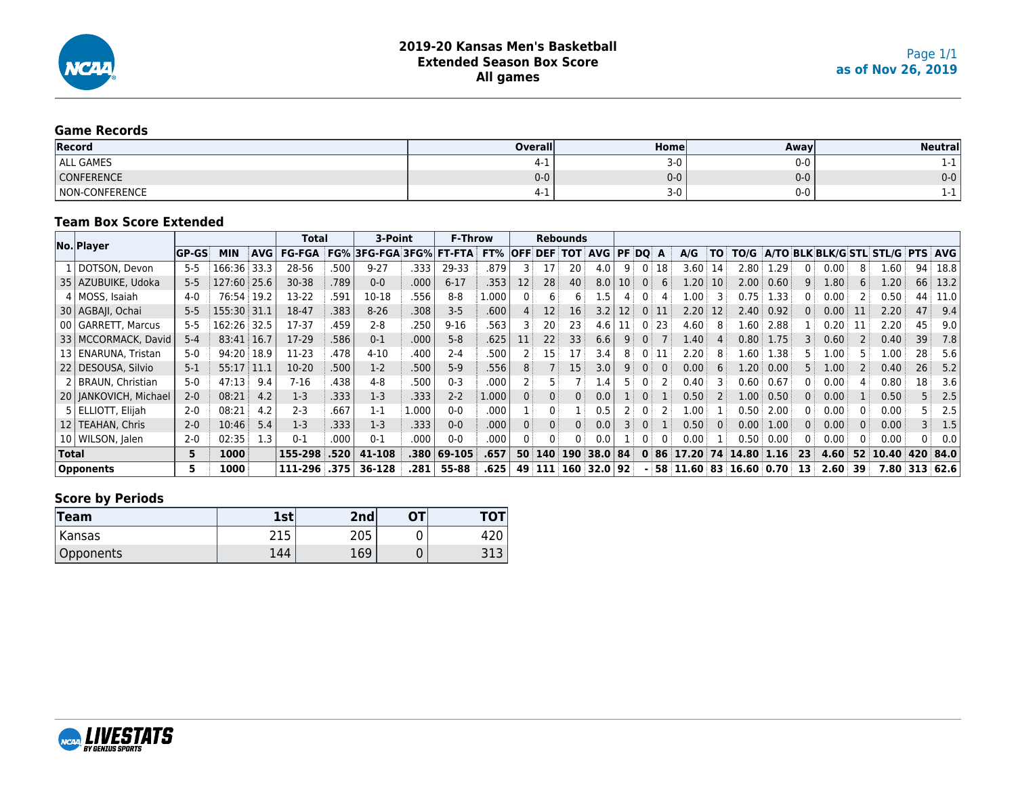

#### **Game Records**

| Record                       | <b>Overall</b> | Homel | Away    | Neutrall |
|------------------------------|----------------|-------|---------|----------|
| ALL GAMES                    | . .            | $3-0$ | $0 - 0$ |          |
| <b>CONFERENCE</b>            | $0-0$          | $0-0$ | $0-0$   | $0-0$    |
| <b>CONFERENCE</b><br>์ Non-เ | 4-1.           | $3-0$ | $0 - 0$ |          |

#### **Team Box Score Extended**

|              |                         |           |             |            | Total         |      | 3-Point      |       | <b>F-Throw</b> |       |            |            | <b>Rebounds</b> |            |                 |                |    |          |              |                 |      |     |                |          |                          |     |                |
|--------------|-------------------------|-----------|-------------|------------|---------------|------|--------------|-------|----------------|-------|------------|------------|-----------------|------------|-----------------|----------------|----|----------|--------------|-----------------|------|-----|----------------|----------|--------------------------|-----|----------------|
|              | No. Player              | $ GP-GS $ | <b>MIN</b>  | <b>AVG</b> | <b>FG-FGA</b> | FG%  | 3FG-FGA 3FG% |       | <b>FT-FTA</b>  | FT%   | <b>OFF</b> | <b>DEF</b> | тот             | <b>AVG</b> | PF DO           |                | A  | A/G      | TO           | TO/G            |      |     |                |          | A/TO BLK BLK/G STL STL/G |     | <b>PTS AVG</b> |
|              | 1   DOTSON, Devon       | $5 - 5$   | 166:36      | 33.3       | 28-56         | .500 | $9 - 27$     | .333  | 29-33          | .879  |            |            | 20              | 4.0        | 9               | $\mathbf{0}$   | 18 | 3.60     | 14           | 2.80            | 1.29 | 0   | 0.00           | 8        | .60                      | 94  | 18.8           |
|              | 35   AZUBUIKE, Udoka    | $5 - 5$   | 127:60 25.6 |            | $30 - 38$     | .789 | $0 - 0$      | .000  | $6 - 17$       | .353  | 12         | 28         | 40              | 8.0        | 10 <sup>°</sup> | $\theta$       | 6  | 1.20     | 10           | 2.00            | 0.60 |     | $1.80^{\circ}$ | 6        | .20                      | 66  | 13.2           |
|              | 4   MOSS, Isaiah        | $4 - 0$   | 76:54       | 19.2       | 13-22         | .591 | 10-18        | .556  | $8 - 8$        | 1.000 |            | 6          | 6               | 1.5        |                 |                |    | 1.00     |              | 0.75            | 1.33 | 0 : | 0.00           |          | 0.50                     | 44  | 11.0           |
|              | 30   AGBAJI, Ochai      | $5 - 5$   | 155:30 31.1 |            | 18-47         | .383 | $8 - 26$     | .308  | $3 - 5$        | .600  |            | 12         | 16              | 3.2        | 12.             | 0 <sup>1</sup> | 11 | 2.20     | 12           | 2.40            | 0.92 | 0   | 0.00           | 11       | 2.20                     | 47  | 9.4            |
|              | 00   GARRETT, Marcus    | $5 - 5$   | 162:26      | 32.5       | 17-37         | .459 | $2 - 8$      | .250  | $9 - 16$       | .563  |            | 20         | 23              | 4.6        |                 | $\mathbf{0}$   | 23 | 4.60     | 8            | 1.60            | 2.88 |     | 0.20           |          | 2.20                     | 45  | 9.0            |
|              | 33   MCCORMACK, David   | $5 - 4$   | 83:41 16.7  |            | 17-29         | .586 | $0 - 1$      | .000  | $5 - 8$        | .625  |            | 22         | 33              | 6.6        | 9               |                |    | 1.40     |              | 0.80            | 1.75 |     | 0.60           |          | 0.40                     | 39  | 7.8            |
|              | 13   ENARUNA, Tristan   | $5-0$     | 94:20       | 18.9       | 11-23         | .478 | $4 - 10$     | .400  | $2 - 4$        | .500  |            | L5 i       | 17              | 3.4        | 8               | $\Omega$       | 11 | 2.20     |              | L.60            | 1.38 |     | .00.           |          | .00                      | 28  | 5.6            |
|              | 22   DESOUSA, Silvio    | $5-1$     | 55:17       | 11.1       | $10-20$       | .500 | $1-2$        | .500  | $5-9$          | .556  |            |            | 15 <sup>3</sup> | 3.0        | 9               | $\Omega$       |    | 0.00     | <sub>b</sub> | 1.20            | 0.00 | 5 : | 1.00           |          | 0.40                     | 26  | 5.2            |
|              | 2   BRAUN, Christian    | $5-0$     | 47:13       | 9.4        | $7-16$        | .438 | $4 - 8$      | .500  | $0 - 3$        | .000  |            |            |                 | 1.4        |                 |                |    | 0.40     |              | 0.60            | 0.67 | 0 : | 0.00           |          | 0.80                     | 18  | 3.6            |
|              | 20   JANKOVICH, Michael | $2 - 0$   | 08:21       | 4.2        | $1-3$         | .333 | $1-3$        | .333  | $2 - 2$        | 1.000 |            | 0          | 0 <sup>1</sup>  | 0.0        |                 | $\Omega$       |    | 0.50     |              | 1.00            | 0.50 | 0:  | 0.00           |          | 0.50                     |     | 2.5            |
|              | 5   ELLIOTT, Elijah     | $2 - 0$   | 08:21       | 4.2        | $2 - 3$       | .667 | $1 - 1$      | 1.000 | $0 - 0$        | .000  |            |            |                 | 0.5        |                 | $\mathbf{0}$   |    | 1.00     |              | 0.50            | 2.00 | 0 : | 0.00           |          | 0.00                     |     | 2.5            |
|              | 12   TEAHAN, Chris      | $2 - 0$   | 10:46       | 5.4        | $1-3$         | .333 | $1-3$        | .333  | $0 - 0$        | .000  |            | 0          | 0 <sup>1</sup>  | 0.0        | $\mathbf{3}$    | $\Omega$       |    | 0.50     | $\Omega$     | 0.00            | 1.00 | 0:  | 0.00           | $\Omega$ | 0.00                     |     | 1.5            |
|              | 10   WILSON, Jalen      | $2 - 0$   | 02:35       | 1.3        | $0 - 1$       | .000 | $0 - 1$      | .000  | $0 - 0$        | .000  |            | 0          | 0               | 0.0        |                 |                |    | 0.00     |              | 0.50            | 0.00 | 0 : | 0.00           |          | 0.00                     |     | 0.0            |
| <b>Total</b> |                         | 5         | 1000        |            | 155-298       | .520 | 41-108       | .380  | 69-105         | .657  |            | 50 140     | 190             | 38.0 84    |                 | $\bf{0}$       | 86 | 17.20    | 74           | 14.80 1.16      |      | 23  | 4.60           | 52       | 10.40                    | 420 | 84.0           |
|              | <b>Opponents</b>        | 5         | 1000        |            | 111-296       | .375 | 36-128       | .281  | 55-88          | .625  | 49         | 111        | <b>160</b>      | 32.0 92    |                 |                |    | 58 11.60 | 83.          | $16.60 \, 0.70$ |      | 13  | 2.60           | 39       | 7.80                     |     | 313 62.6       |

## **Score by Periods**

| Team      | 1st        | 2nd       | ΟТ | וטו    |
|-----------|------------|-----------|----|--------|
| Kansas    | 215<br>ᅀᆠᆚ | つのち<br>∠∪ |    | 72 J   |
| Opponents | 144        | 169       | ◡  | ں لا ب |

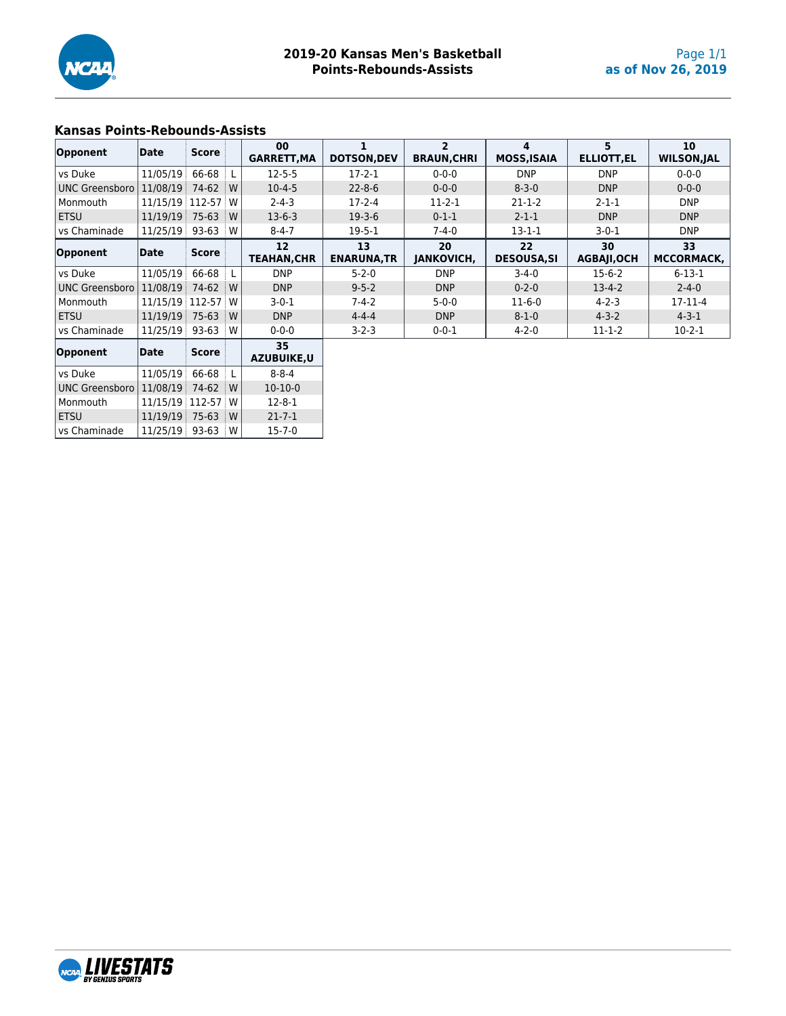

#### **Kansas Points-Rebounds-Assists**

| Opponent              | Date              | <b>Score</b> |     | 00<br><b>GARRETT, MA</b>                | <b>DOTSON, DEV</b>       | <b>BRAUN, CHRI</b>      | 4<br><b>MOSS, ISAIA</b> | 5<br><b>ELLIOTT, EL</b>  | 10<br><b>WILSON, JAL</b> |
|-----------------------|-------------------|--------------|-----|-----------------------------------------|--------------------------|-------------------------|-------------------------|--------------------------|--------------------------|
| vs Duke               | 11/05/19          | 66-68        |     | $12 - 5 - 5$                            | $17-2-1$                 | $0 - 0 - 0$             | <b>DNP</b>              | <b>DNP</b>               | $0 - 0 - 0$              |
| <b>UNC Greensboro</b> | 11/08/19          | 74-62        | W   | $10 - 4 - 5$                            | $22 - 8 - 6$             | $0 - 0 - 0$             | $8 - 3 - 0$             | <b>DNP</b>               | $0 - 0 - 0$              |
| Monmouth              | 11/15/19 112-57 W |              |     | $2 - 4 - 3$                             | $17 - 2 - 4$             | $11-2-1$                | $21 - 1 - 2$            | $2 - 1 - 1$              | <b>DNP</b>               |
| <b>ETSU</b>           | 11/19/19          | $75-63$      | W   | $13-6-3$                                | $19-3-6$                 | $0 - 1 - 1$             | $2 - 1 - 1$             | <b>DNP</b>               | <b>DNP</b>               |
| vs Chaminade          | 11/25/19          | $93 - 63$    | w   | $8 - 4 - 7$                             | $19 - 5 - 1$             | $7 - 4 - 0$             | $13 - 1 - 1$            | $3-0-1$                  | <b>DNP</b>               |
| Opponent              | Date              | <b>Score</b> |     | $12 \overline{ }$<br><b>TEAHAN, CHR</b> | 13<br><b>ENARUNA, TR</b> | 20<br><b>JANKOVICH,</b> | 22<br><b>DESOUSA,SI</b> | 30<br><b>AGBAJI, OCH</b> | 33<br><b>MCCORMACK.</b>  |
| vs Duke               | 11/05/19          | 66-68        |     | <b>DNP</b>                              | $5 - 2 - 0$              | <b>DNP</b>              | $3 - 4 - 0$             | $15-6-2$                 | $6 - 13 - 1$             |
| <b>UNC Greensboro</b> | 11/08/19          | 74-62        | ⊟ W | <b>DNP</b>                              | $9 - 5 - 2$              | <b>DNP</b>              | $0 - 2 - 0$             | $13 - 4 - 2$             | $2 - 4 - 0$              |
| Monmouth              | 11/15/19 112-57 W |              |     | $3 - 0 - 1$                             | $7 - 4 - 2$              | $5 - 0 - 0$             | $11-6-0$                | $4 - 2 - 3$              | $17-11-4$                |
| <b>ETSU</b>           | 11/19/19          | $75-63$      | W   | <b>DNP</b>                              | $4 - 4 - 4$              | <b>DNP</b>              | $8 - 1 - 0$             | $4 - 3 - 2$              | $4 - 3 - 1$              |
| vs Chaminade          | 11/25/19          | 93-63        | w   | $0 - 0 - 0$                             | $3 - 2 - 3$              | $0 - 0 - 1$             | $4 - 2 - 0$             | $11 - 1 - 2$             | $10-2-1$                 |
| Opponent              | Date              | <b>Score</b> |     | 35<br>A 7UDIUVE II                      |                          |                         |                         |                          |                          |

| Opponent       | Date              | <b>Score</b> |   | <b>AZUBUIKE.U</b> |
|----------------|-------------------|--------------|---|-------------------|
| vs Duke        | 11/05/19 66-68    |              | L | $8 - 8 - 4$       |
| UNC Greensboro | 11/08/19          | 74-62        | W | $10-10-0$         |
| l Monmouth     | 11/15/19 112-57 W |              |   | $12 - 8 - 1$      |
| <b>ETSU</b>    | 11/19/19 75-63    |              | W | $21 - 7 - 1$      |
| vs Chaminade   | 11/25/19 93-63    |              | w | $15 - 7 - 0$      |

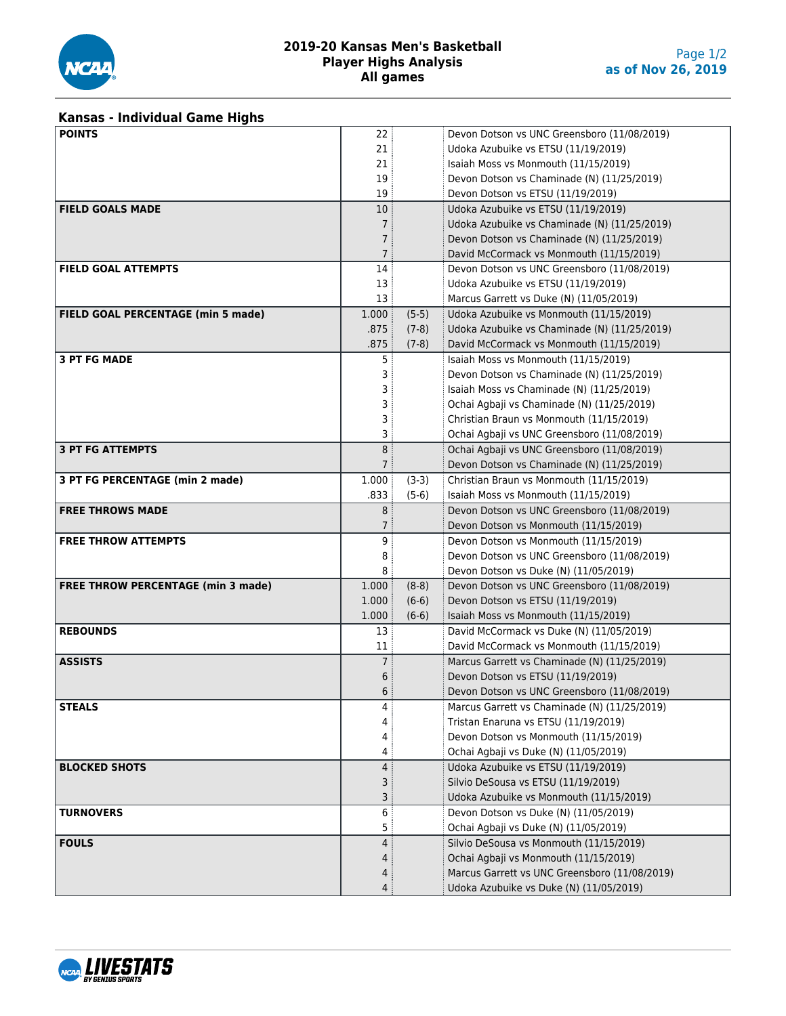

#### **2019-20 Kansas Men's Basketball Player Highs Analysis All games**

# **Kansas - Individual Game Highs**

| <b>POINTS</b>                             | 22                  |         | Devon Dotson vs UNC Greensboro (11/08/2019)   |
|-------------------------------------------|---------------------|---------|-----------------------------------------------|
|                                           | 21                  |         | Udoka Azubuike vs ETSU (11/19/2019)           |
|                                           | 21                  |         | Isaiah Moss vs Monmouth (11/15/2019)          |
|                                           | 19                  |         | Devon Dotson vs Chaminade (N) (11/25/2019)    |
|                                           | 19                  |         | Devon Dotson vs ETSU (11/19/2019)             |
| <b>FIELD GOALS MADE</b>                   | 10                  |         | Udoka Azubuike vs ETSU (11/19/2019)           |
|                                           | 7 <sup>3</sup>      |         | Udoka Azubuike vs Chaminade (N) (11/25/2019)  |
|                                           | $\overline{7}$      |         | Devon Dotson vs Chaminade (N) (11/25/2019)    |
|                                           | 7 <sup>1</sup>      |         | David McCormack vs Monmouth (11/15/2019)      |
| <b>FIELD GOAL ATTEMPTS</b>                | 14                  |         | Devon Dotson vs UNC Greensboro (11/08/2019)   |
|                                           | 13                  |         | Udoka Azubuike vs ETSU (11/19/2019)           |
|                                           | 13                  |         | Marcus Garrett vs Duke (N) (11/05/2019)       |
| FIELD GOAL PERCENTAGE (min 5 made)        | 1.000               | $(5-5)$ | Udoka Azubuike vs Monmouth (11/15/2019)       |
|                                           | .875                | $(7-8)$ | Udoka Azubuike vs Chaminade (N) (11/25/2019)  |
|                                           | .875                | $(7-8)$ | David McCormack vs Monmouth (11/15/2019)      |
| <b>3 PT FG MADE</b>                       | 5                   |         | Isaiah Moss vs Monmouth (11/15/2019)          |
|                                           | 3                   |         | Devon Dotson vs Chaminade (N) (11/25/2019)    |
|                                           | 3                   |         | Isaiah Moss vs Chaminade (N) (11/25/2019)     |
|                                           | 3                   |         | Ochai Agbaji vs Chaminade (N) (11/25/2019)    |
|                                           | 3                   |         | Christian Braun vs Monmouth (11/15/2019)      |
|                                           | 3                   |         | Ochai Agbaji vs UNC Greensboro (11/08/2019)   |
| <b>3 PT FG ATTEMPTS</b>                   | 8                   |         | Ochai Agbaji vs UNC Greensboro (11/08/2019)   |
|                                           | 7 <sup>3</sup>      |         | Devon Dotson vs Chaminade (N) (11/25/2019)    |
| 3 PT FG PERCENTAGE (min 2 made)           | 1.000               | $(3-3)$ | Christian Braun vs Monmouth (11/15/2019)      |
|                                           | .833                | $(5-6)$ | Isaiah Moss vs Monmouth (11/15/2019)          |
| <b>FREE THROWS MADE</b>                   | 8 <sup>3</sup>      |         | Devon Dotson vs UNC Greensboro (11/08/2019)   |
|                                           | 7 <sup>1</sup>      |         | Devon Dotson vs Monmouth (11/15/2019)         |
| <b>FREE THROW ATTEMPTS</b>                | 9                   |         | Devon Dotson vs Monmouth (11/15/2019)         |
|                                           | 8                   |         | Devon Dotson vs UNC Greensboro (11/08/2019)   |
|                                           | 8                   |         | Devon Dotson vs Duke (N) (11/05/2019)         |
| <b>FREE THROW PERCENTAGE (min 3 made)</b> | 1.000               | $(8-8)$ | Devon Dotson vs UNC Greensboro (11/08/2019)   |
|                                           | 1.000               | $(6-6)$ | Devon Dotson vs ETSU (11/19/2019)             |
|                                           | 1.000               | $(6-6)$ | Isaiah Moss vs Monmouth (11/15/2019)          |
| <b>REBOUNDS</b>                           | 13                  |         | David McCormack vs Duke (N) (11/05/2019)      |
|                                           | 11                  |         | David McCormack vs Monmouth (11/15/2019)      |
| <b>ASSISTS</b>                            | $7^{\frac{1}{2}}$   |         | Marcus Garrett vs Chaminade (N) (11/25/2019)  |
|                                           |                     |         | Devon Dotson vs ETSU (11/19/2019)             |
|                                           | 6<br>6              |         | Devon Dotson vs UNC Greensboro (11/08/2019)   |
| <b>STEALS</b>                             | 4                   |         | Marcus Garrett vs Chaminade (N) (11/25/2019)  |
|                                           | 4                   |         | Tristan Enaruna vs ETSU (11/19/2019)          |
|                                           | 4                   |         | Devon Dotson vs Monmouth (11/15/2019)         |
|                                           |                     |         | Ochai Agbaji vs Duke (N) (11/05/2019)         |
| <b>BLOCKED SHOTS</b>                      | 4<br>$\overline{4}$ |         | Udoka Azubuike vs ETSU (11/19/2019)           |
|                                           |                     |         | Silvio DeSousa vs ETSU (11/19/2019)           |
|                                           | 3                   |         | Udoka Azubuike vs Monmouth (11/15/2019)       |
|                                           | 3                   |         |                                               |
| <b>TURNOVERS</b>                          | 6                   |         | Devon Dotson vs Duke (N) (11/05/2019)         |
|                                           | 5                   |         | Ochai Agbaji vs Duke (N) (11/05/2019)         |
| <b>FOULS</b>                              | 4                   |         | Silvio DeSousa vs Monmouth (11/15/2019)       |
|                                           | 4                   |         | Ochai Agbaji vs Monmouth (11/15/2019)         |
|                                           | 4                   |         | Marcus Garrett vs UNC Greensboro (11/08/2019) |
|                                           | 4:                  |         | Udoka Azubuike vs Duke (N) (11/05/2019)       |

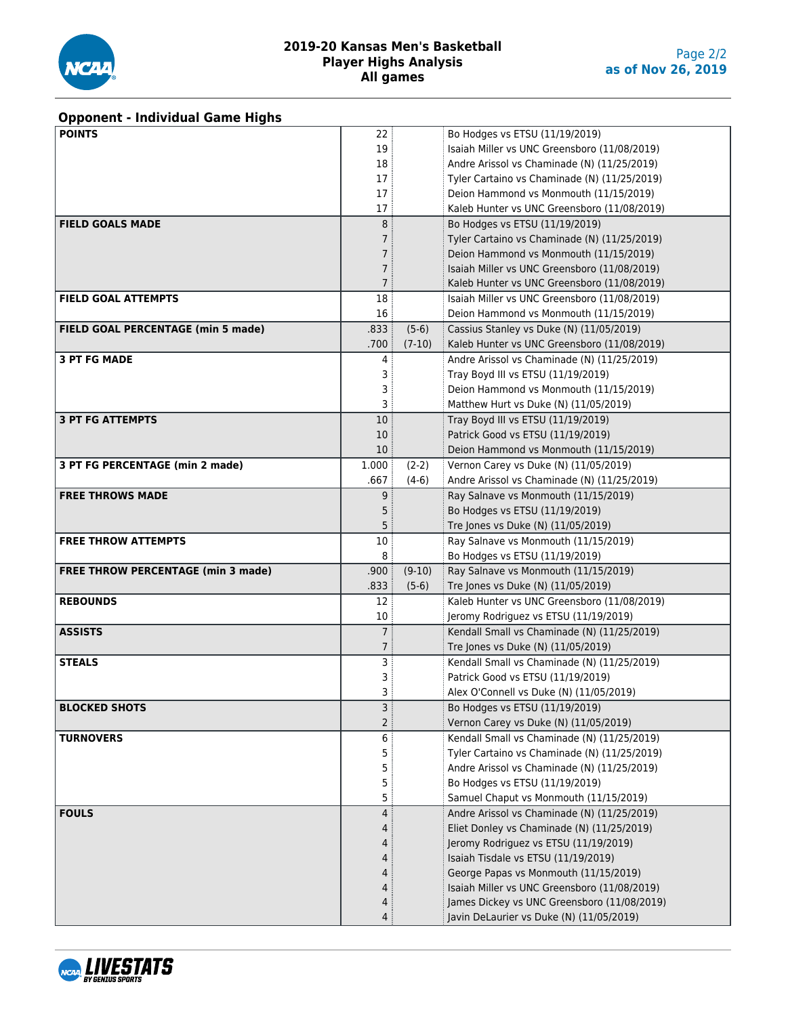

#### **2019-20 Kansas Men's Basketball Player Highs Analysis All games**

# **Opponent - Individual Game Highs**

| <b>POINTS</b>                             | 22             |          | Bo Hodges vs ETSU (11/19/2019)               |
|-------------------------------------------|----------------|----------|----------------------------------------------|
|                                           | 19             |          | Isaiah Miller vs UNC Greensboro (11/08/2019) |
|                                           | 18             |          | Andre Arissol vs Chaminade (N) (11/25/2019)  |
|                                           | 17             |          | Tyler Cartaino vs Chaminade (N) (11/25/2019) |
|                                           | 17             |          | Deion Hammond vs Monmouth (11/15/2019)       |
|                                           | 17             |          | Kaleb Hunter vs UNC Greensboro (11/08/2019)  |
| <b>FIELD GOALS MADE</b>                   | 8              |          | Bo Hodges vs ETSU (11/19/2019)               |
|                                           | $\overline{7}$ |          | Tyler Cartaino vs Chaminade (N) (11/25/2019) |
|                                           | $\overline{7}$ |          | Deion Hammond vs Monmouth (11/15/2019)       |
|                                           | 7              |          | Isaiah Miller vs UNC Greensboro (11/08/2019) |
|                                           | 7              |          | Kaleb Hunter vs UNC Greensboro (11/08/2019)  |
| <b>FIELD GOAL ATTEMPTS</b>                | 18             |          | Isaiah Miller vs UNC Greensboro (11/08/2019) |
|                                           | 16             |          | Deion Hammond vs Monmouth (11/15/2019)       |
| FIELD GOAL PERCENTAGE (min 5 made)        | .833           | $(5-6)$  | Cassius Stanley vs Duke (N) (11/05/2019)     |
|                                           | .700           | $(7-10)$ | Kaleb Hunter vs UNC Greensboro (11/08/2019)  |
| <b>3 PT FG MADE</b>                       | 4              |          | Andre Arissol vs Chaminade (N) (11/25/2019)  |
|                                           | 3              |          | Tray Boyd III vs ETSU (11/19/2019)           |
|                                           | 3              |          | Deion Hammond vs Monmouth (11/15/2019)       |
|                                           | 3              |          | Matthew Hurt vs Duke (N) (11/05/2019)        |
| <b>3 PT FG ATTEMPTS</b>                   | 10             |          | Tray Boyd III vs ETSU (11/19/2019)           |
|                                           | 10             |          | Patrick Good vs ETSU (11/19/2019)            |
|                                           | 10             |          | Deion Hammond vs Monmouth (11/15/2019)       |
| 3 PT FG PERCENTAGE (min 2 made)           | 1.000          | $(2-2)$  | Vernon Carey vs Duke (N) (11/05/2019)        |
|                                           | .667           | $(4-6)$  | Andre Arissol vs Chaminade (N) (11/25/2019)  |
| <b>FREE THROWS MADE</b>                   | 9              |          | Ray Salnave vs Monmouth (11/15/2019)         |
|                                           | 5              |          | Bo Hodges vs ETSU (11/19/2019)               |
|                                           | 5              |          | Tre Jones vs Duke (N) (11/05/2019)           |
| <b>FREE THROW ATTEMPTS</b>                | 10             |          | Ray Salnave vs Monmouth (11/15/2019)         |
|                                           | 8              |          | Bo Hodges vs ETSU (11/19/2019)               |
| <b>FREE THROW PERCENTAGE (min 3 made)</b> | .900           | $(9-10)$ | Ray Salnave vs Monmouth (11/15/2019)         |
|                                           | .833           | $(5-6)$  | Tre Jones vs Duke (N) (11/05/2019)           |
| <b>REBOUNDS</b>                           | 12             |          | Kaleb Hunter vs UNC Greensboro (11/08/2019)  |
|                                           | 10             |          | Jeromy Rodriguez vs ETSU (11/19/2019)        |
| <b>ASSISTS</b>                            | 7:             |          | Kendall Small vs Chaminade (N) (11/25/2019)  |
|                                           | 7 <sup>1</sup> |          | Tre Jones vs Duke (N) (11/05/2019)           |
| <b>STEALS</b>                             | 3              |          | Kendall Small vs Chaminade (N) (11/25/2019)  |
|                                           | 3              |          | Patrick Good vs ETSU (11/19/2019)            |
|                                           | 3              |          | Alex O'Connell vs Duke (N) (11/05/2019)      |
| <b>BLOCKED SHOTS</b>                      | 3              |          | Bo Hodges vs ETSU (11/19/2019)               |
|                                           | $\overline{2}$ |          | Vernon Carey vs Duke (N) (11/05/2019)        |
| <b>TURNOVERS</b>                          | 6              |          | Kendall Small vs Chaminade (N) (11/25/2019)  |
|                                           | 5              |          | Tyler Cartaino vs Chaminade (N) (11/25/2019) |
|                                           | 5              |          | Andre Arissol vs Chaminade (N) (11/25/2019)  |
|                                           | 5              |          | Bo Hodges vs ETSU (11/19/2019)               |
|                                           | 5              |          | Samuel Chaput vs Monmouth (11/15/2019)       |
| <b>FOULS</b>                              | 4              |          | Andre Arissol vs Chaminade (N) (11/25/2019)  |
|                                           | 4              |          | Eliet Donley vs Chaminade (N) (11/25/2019)   |
|                                           | 4              |          | Jeromy Rodriguez vs ETSU (11/19/2019)        |
|                                           | 4              |          | Isaiah Tisdale vs ETSU (11/19/2019)          |
|                                           | 4              |          | George Papas vs Monmouth (11/15/2019)        |
|                                           | 4              |          | Isaiah Miller vs UNC Greensboro (11/08/2019) |
|                                           | 4              |          | James Dickey vs UNC Greensboro (11/08/2019)  |
|                                           | 4              |          | Javin DeLaurier vs Duke (N) (11/05/2019)     |

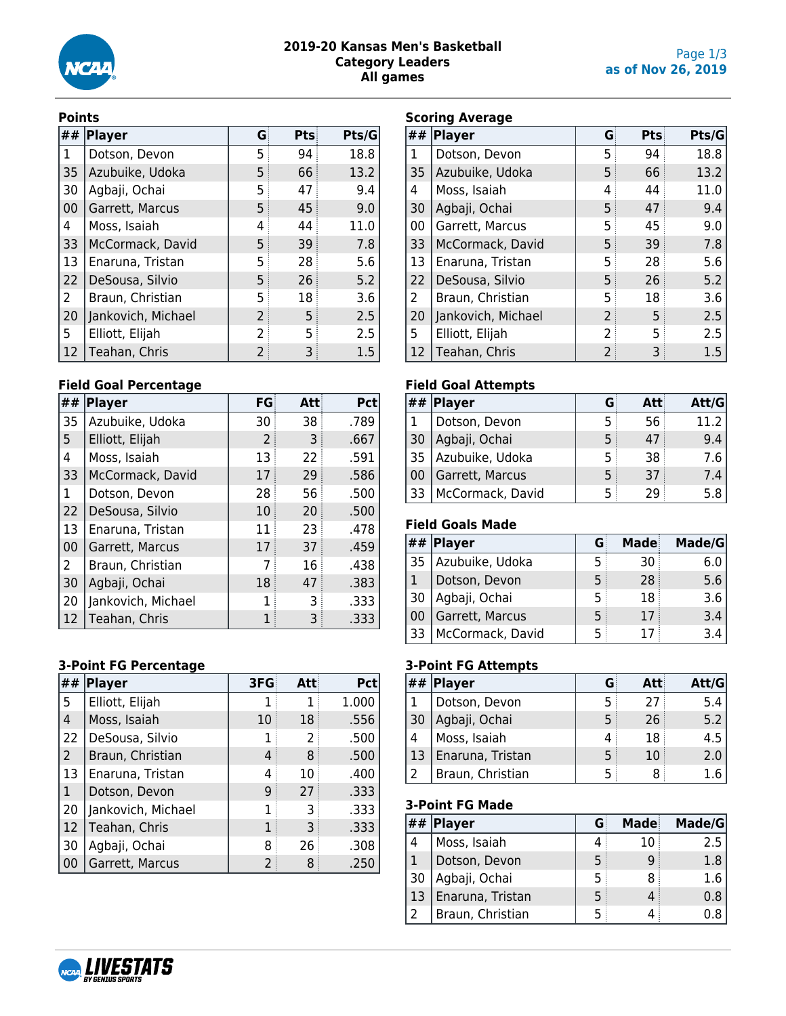

#### **2019-20 Kansas Men's Basketball Category Leaders All games**

#### **Points**

| ## | <b>Player</b>      | G | Pts | Pts/G |
|----|--------------------|---|-----|-------|
| 1  | Dotson, Devon      | 5 | 94  | 18.8  |
| 35 | Azubuike, Udoka    | 5 | 66  | 13.2  |
| 30 | Agbaji, Ochai      | 5 | 47  | 9.4   |
| 00 | Garrett, Marcus    | 5 | 45  | 9.0   |
| 4  | Moss, Isaiah       | 4 | 44  | 11.0  |
| 33 | McCormack, David   | 5 | 39  | 7.8   |
| 13 | Enaruna, Tristan   | 5 | 28  | 5.6   |
| 22 | DeSousa, Silvio    | 5 | 26  | 5.2   |
| 2  | Braun, Christian   | 5 | 18  | 3.6   |
| 20 | Jankovich, Michael | 2 | 5   | 2.5   |
| 5  | Elliott, Elijah    | 2 | 5   | 2.5   |
| 12 | Teahan, Chris      | 2 | 3   | 1.5   |

#### **Field Goal Percentage**

| ## | <b>Player</b>      | FG | Att | Pct  |
|----|--------------------|----|-----|------|
| 35 | Azubuike, Udoka    | 30 | 38  | .789 |
| 5  | Elliott, Elijah    | 2  | 3   | .667 |
| 4  | Moss, Isaiah       | 13 | 22  | .591 |
| 33 | McCormack, David   | 17 | 29  | .586 |
| 1  | Dotson, Devon      | 28 | 56  | .500 |
| 22 | DeSousa, Silvio    | 10 | 20  | .500 |
| 13 | Enaruna, Tristan   | 11 | 23  | .478 |
| 00 | Garrett, Marcus    | 17 | 37  | .459 |
| 2  | Braun, Christian   | 7  | 16  | .438 |
| 30 | Agbaji, Ochai      | 18 | 47  | .383 |
| 20 | Jankovich, Michael | 1  | 3   | .333 |
| 12 | Teahan, Chris      |    |     | .333 |

#### **3-Point FG Percentage**

| ##             | <b>Player</b>      | 3FG | Att | <b>Pct</b> |
|----------------|--------------------|-----|-----|------------|
| 5              | Elliott, Elijah    |     |     | 1.000      |
| 4              | Moss, Isaiah       | 10  | 18  | .556       |
| 22             | DeSousa, Silvio    |     | 2   | .500       |
| $\overline{2}$ | Braun, Christian   | 4   | 8   | .500       |
| 13             | Enaruna, Tristan   | 4   | 10  | .400       |
| $\mathbf 1$    | Dotson, Devon      | 9   | 27  | .333       |
| 20             | Jankovich, Michael |     | 3   | .333       |
| 12             | Teahan, Chris      | 1   | 3   | .333       |
| 30             | Agbaji, Ochai      | 8   | 26  | .308       |
| 00             | Garrett, Marcus    |     |     | .250       |

#### **Scoring Average**

| ##             | <b>Player</b>      | G | Pts | Pts/G   |  |  |  |
|----------------|--------------------|---|-----|---------|--|--|--|
| 1              | Dotson, Devon      | 5 | 94  | 18.8    |  |  |  |
| 35             | Azubuike, Udoka    | 5 | 66  | 13.2    |  |  |  |
| 4              | Moss, Isaiah       | 4 | 44  | 11.0    |  |  |  |
| 30             | Agbaji, Ochai      | 5 | 47  | 9.4     |  |  |  |
| 00             | Garrett, Marcus    | 5 | 45  | 9.0     |  |  |  |
| 33             | McCormack, David   | 5 | 39  | 7.8     |  |  |  |
| 13             | Enaruna, Tristan   | 5 | 28  | 5.6     |  |  |  |
| 22             | DeSousa, Silvio    | 5 | 26  | 5.2     |  |  |  |
| $\overline{2}$ | Braun, Christian   | 5 | 18  | 3.6     |  |  |  |
| 20             | Jankovich, Michael | 2 | 5   | 2.5     |  |  |  |
| 5              | Elliott, Elijah    | 2 | 5   | 2.5     |  |  |  |
| 12             | Teahan, Chris      | 2 | 3   | $1.5\,$ |  |  |  |

#### **Field Goal Attempts**

|     | $##$ Player      |   |    | Att/G |
|-----|------------------|---|----|-------|
|     | Dotson, Devon    |   | 56 |       |
| 30  | Agbaji, Ochai    | 5 | 47 | 9.4   |
| 135 | Azubuike, Udoka  | 5 | 38 | 7.6   |
| 00  | Garrett, Marcus  | 5 | 37 | 7.4   |
| 33  | McCormack, David |   | つの | 5.8   |

## **Field Goals Made**

| ##  | Player           |   | Made | Made/G |
|-----|------------------|---|------|--------|
| -35 | Azubuike, Udoka  | ר | 30   | 6.U    |
|     | Dotson, Devon    | 5 | 28   | 5.6    |
| 30  | Agbaji, Ochai    | 5 | 18   | 3.6    |
| 00  | Garrett, Marcus  | 5 | 17   | 3.4    |
| 33  | McCormack, David | 5 | 17   | 3.4    |

#### **3-Point FG Attempts**

|    | $##$ Player      |   | Att | Att/G |
|----|------------------|---|-----|-------|
|    | Dotson, Devon    |   | 77  | 5.4   |
| 30 | Agbaji, Ochai    | 5 | 26  | 5.2   |
|    | Moss, Isaiah     |   | 18  | 4.5   |
| 13 | Enaruna, Tristan | 5 | 10  | 2.0   |
|    | Braun, Christian |   |     |       |

## **3-Point FG Made**

|               | ##  Player       |    | Made | Made/G |
|---------------|------------------|----|------|--------|
| 4             | Moss, Isaiah     |    | 10   | 2.5    |
|               | Dotson, Devon    | 5  |      | 1.8    |
| 30            | Agbaji, Ochai    | .5 |      | 1.6    |
| 13            | Enaruna, Tristan | 5  |      | 0.8    |
| $\mathcal{L}$ | Braun, Christian |    |      |        |

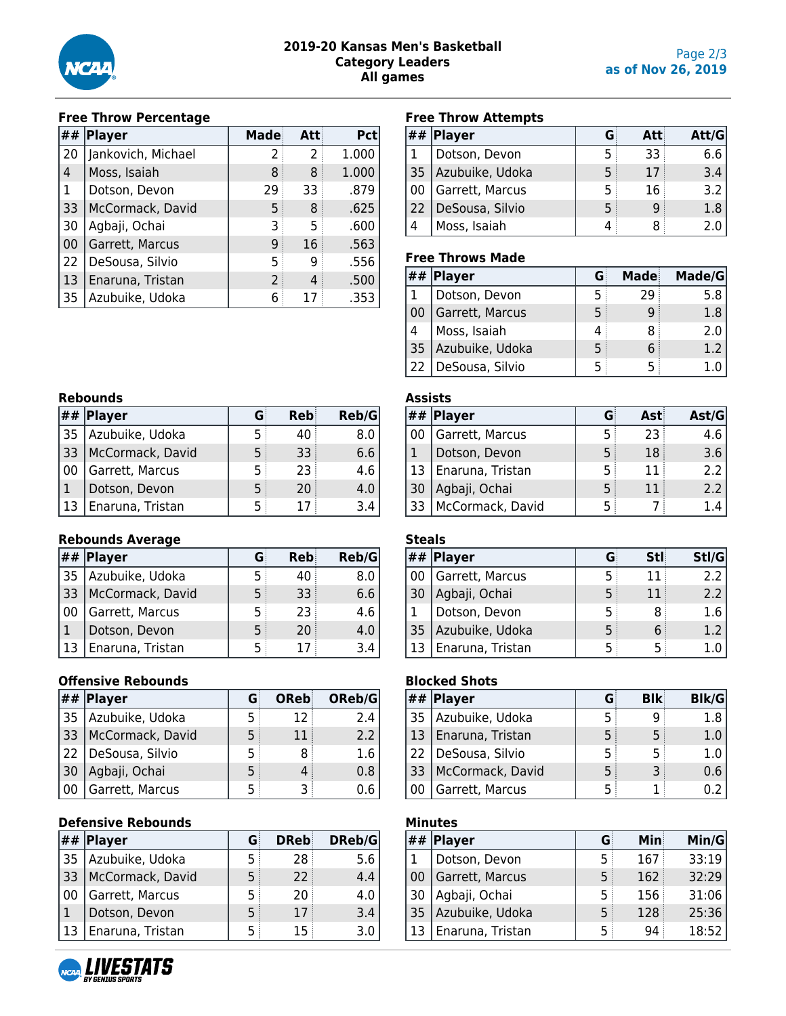

#### **Free Throw Percentage**

| ## | Player             | Made           | Att | <b>Pct</b> |
|----|--------------------|----------------|-----|------------|
| 20 | Jankovich, Michael | 2              | 2   | 1.000      |
| 4  | Moss, Isaiah       | 8              | 8   | 1.000      |
| 1  | Dotson, Devon      | 29             | 33  | .879       |
| 33 | McCormack, David   | 5              | 8   | .625       |
| 30 | Agbaji, Ochai      | 3              | 5   | .600       |
| 00 | Garrett, Marcus    | 9              | 16  | .563       |
| 22 | DeSousa, Silvio    | 5              | 9   | .556       |
| 13 | Enaruna, Tristan   | $\overline{2}$ | 4   | .500       |
| 35 | Azubuike, Udoka    | 6              | 17  | .353       |

#### **Free Throw Attempts**

|              | $##$ Player        |    | Att | Att/G |
|--------------|--------------------|----|-----|-------|
|              | Dotson, Devon      |    | 33  | 6.6   |
|              | 35 Azubuike, Udoka | 5  | 17  | 3.4   |
| 00           | Garrett, Marcus    | .5 | 16  | 3.2   |
| $ 22\rangle$ | DeSousa, Silvio    | 5  | q   | 1.8   |
| 4            | Moss, Isaiah       |    | 8   |       |

#### **Free Throws Made**

|    | $##$  Player    |   | Made | Made/G |
|----|-----------------|---|------|--------|
|    | Dotson, Devon   |   | 29   | 5.8    |
| 00 | Garrett, Marcus | 5 |      | 1.8    |
|    | Moss, Isaiah    |   |      | 2.0    |
| 35 | Azubuike, Udoka | 5 |      | 1.2    |
| 22 | DeSousa, Silvio | 5 | 5    |        |

# **Rebounds**

|      | $##$ Player      | G | Reb | Reb/G |
|------|------------------|---|-----|-------|
| 35   | Azubuike, Udoka  | 5 | 40  | 8.0   |
| 33   | McCormack, David | 5 | 33  | 6.6   |
| l 00 | Garrett, Marcus  | 5 | 23  | 4.6   |
|      | Dotson, Devon    | 5 | 20  | 4.0   |
| 13   | Enaruna, Tristan |   |     | 3.4   |

#### **Rebounds Average**

|     | $##$ Player      |   | Reb | Reb/G |
|-----|------------------|---|-----|-------|
| 135 | Azubuike, Udoka  | 5 | 40  | 8.0   |
| 33  | McCormack, David | 5 | 33  | 6.6   |
|     | Garrett, Marcus  | 5 | 23  | 4.6   |
|     | Dotson, Devon    | 5 | 20  | 4.0   |
|     | Enaruna, Tristan |   | 17  | 3.4   |

#### **Offensive Rebounds**

|    | $##$  Player          |    | OReb | OReb/G        |
|----|-----------------------|----|------|---------------|
| 35 | Azubuike, Udoka       | 5  | 12   | 2.4           |
|    | 33   McCormack, David | 5  | 11   | $2.2^{\circ}$ |
| 22 | DeSousa, Silvio       | .5 | 8    | 1.6           |
| 30 | Agbaji, Ochai         | 5  |      | 0.8           |
|    | Garrett, Marcus       |    |      |               |

#### **Defensive Rebounds**

|      | $##$  Player     | G. | <b>DReb</b> | DReb/G |
|------|------------------|----|-------------|--------|
| 35   | Azubuike, Udoka  | 5  | 28          | 5.6    |
| 33   | McCormack, David | 5  | 22          | 4.4    |
| l 00 | Garrett, Marcus  | 5  | 20:         | 4.0    |
|      | Dotson, Devon    | 5  | 17          | 3.4    |
| 13   | Enaruna, Tristan | 5  | 15          | 3.0    |

# **Assists**

|     | ##  Player       |   | Ast | Ast/G |
|-----|------------------|---|-----|-------|
| ∣00 | Garrett, Marcus  |   | 23  | 4.6   |
|     | Dotson, Devon    | 5 | 18  | 3.6   |
| 13  | Enaruna, Tristan | 5 | 11  | 2.2   |
| 30  | Agbaji, Ochai    | 5 | 11  | 2.2   |
| 33، | McCormack, David |   |     |       |

## **Steals ## Player G Stl Stl/G** 00 Garrett, Marcus 15 11 2.2 30 Agbaji, Ochai 15 11 2.2 1 Dotson, Devon 1 5 8 1.6 35 Azubuike, Udoka  $\begin{array}{|c|c|c|c|c|} \hline \end{array}$  5 6 1.2 13 Enaruna, Tristan  $\begin{array}{|c|c|c|c|c|} \hline 1.0 & 5 & 5 & 1.0 \ \hline \end{array}$

## **Blocked Shots**

|              | $##$ Player      |   | <b>Blk</b> | Blk/G |
|--------------|------------------|---|------------|-------|
| 35           | Azubuike, Udoka  |   |            | 1.8   |
| $ 13\rangle$ | Enaruna, Tristan | 5 |            |       |
| 22           | DeSousa, Silvio  | 5 |            |       |
| 33           | McCormack, David | 5 |            | 0.6   |
|              | Garrett, Marcus  |   |            |       |

## **Minutes**

| ## | Player           | G  | Mini | Min/G |
|----|------------------|----|------|-------|
|    | Dotson, Devon    | 5  | 167  | 33:19 |
| 00 | Garrett, Marcus  | 5  | 162  | 32:29 |
| 30 | Agbaji, Ochai    | 5. | 156  | 31:06 |
| 35 | Azubuike, Udoka  | 5  | 128  | 25:36 |
|    | Enaruna, Tristan | 5  | 94   | 18:52 |

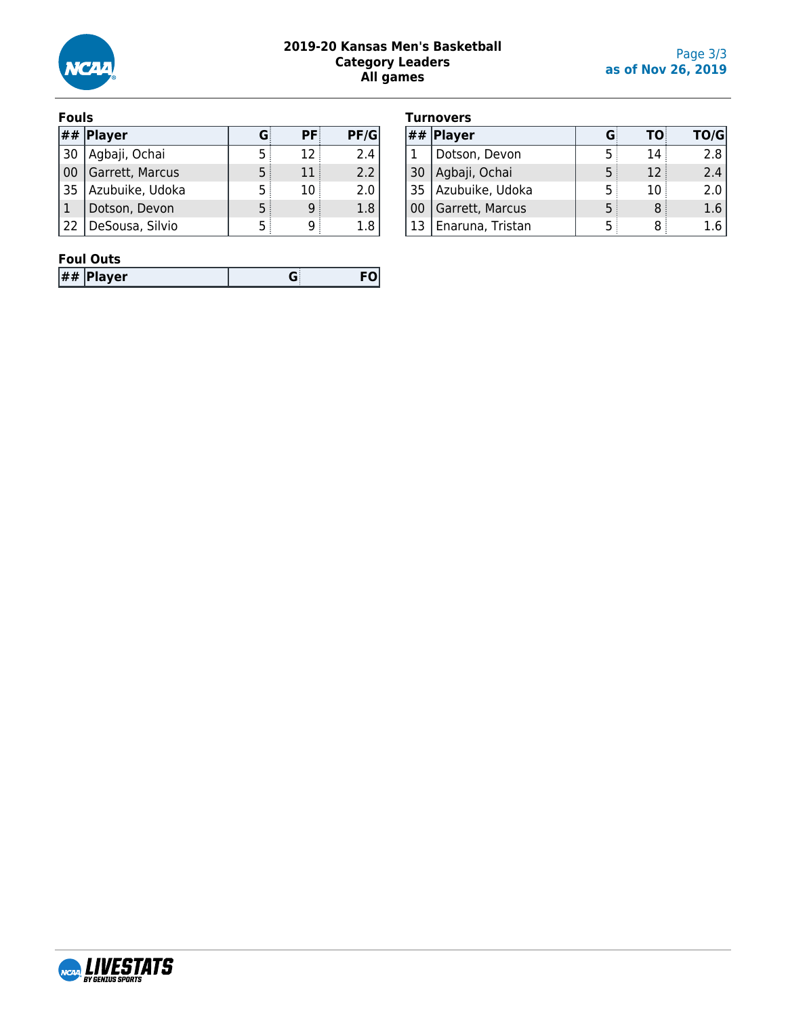

#### **2019-20 Kansas Men's Basketball Category Leaders All games**

#### **Fouls**

|    | $\left  \# \# \right $ Player | G | <b>PF</b> | PF/G |
|----|-------------------------------|---|-----------|------|
| 30 | Agbaji, Ochai                 |   | 12        | 2.4  |
| 00 | Garrett, Marcus               | 5 | 11        | 2.2  |
| 35 | Azubuike, Udoka               | 5 | 10        | 2.0  |
|    | Dotson, Devon                 | 5 | q         | 1.8  |
| 22 | DeSousa, Silvio               |   |           | 1.8  |

|  | <b>Turnovers</b> |
|--|------------------|

|      | , umuvci 3       |   |    |      |
|------|------------------|---|----|------|
| ##   | <b>Player</b>    | G | TO | TO/G |
|      | Dotson, Devon    | 5 | 14 | 2.8  |
| 30   | Agbaji, Ochai    | 5 | 12 | 2.4  |
| 35 ، | Azubuike, Udoka  | 5 | 10 | 2.0  |
| -00  | Garrett, Marcus  | 5 | 8  | 1.6  |
| 13   | Enaruna, Tristan |   | 8  |      |

#### **Foul Outs**

| ,,,,,, |
|--------|
|--------|

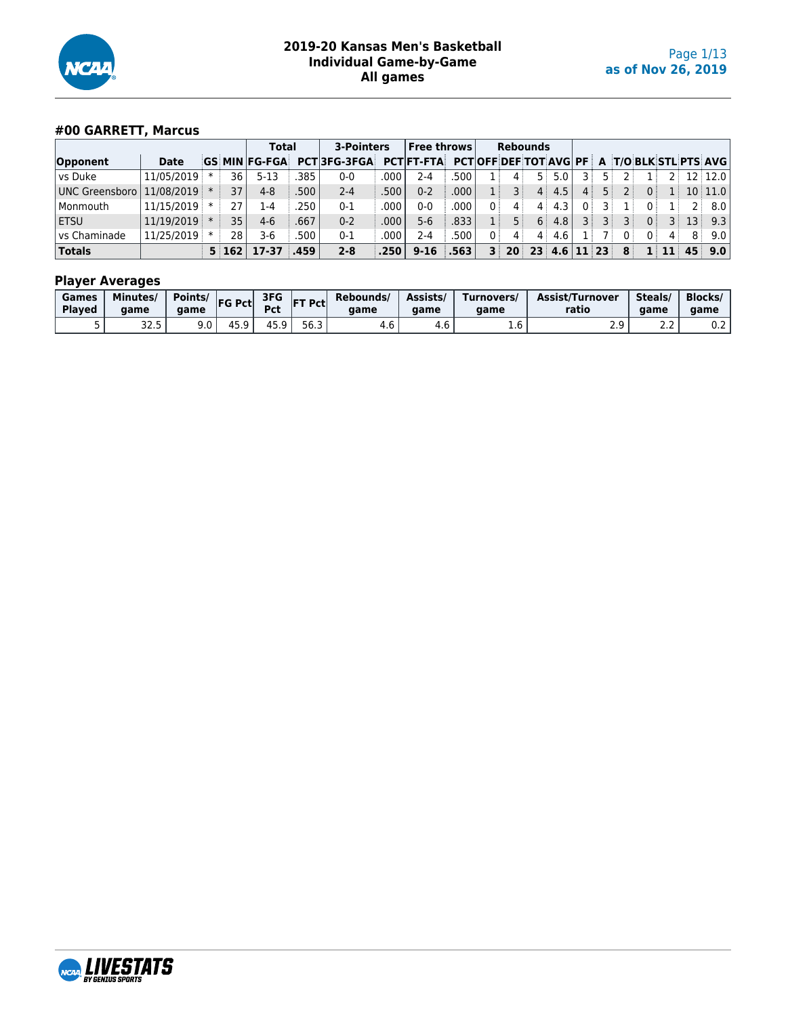

## **#00 GARRETT, Marcus**

|                                 |             |     |            | <b>Total</b>      |      | 3-Pointers         |      | <b>Free throws</b> |        |                         | <b>Rebounds</b> |           |             |       |     |              |              |    |                                                    |
|---------------------------------|-------------|-----|------------|-------------------|------|--------------------|------|--------------------|--------|-------------------------|-----------------|-----------|-------------|-------|-----|--------------|--------------|----|----------------------------------------------------|
| Opponent                        | <b>Date</b> | GS. |            | <b>MIN FG-FGA</b> |      | <b>PCT3FG-3FGA</b> |      | <b>PCT FT-FTA</b>  |        |                         |                 |           |             |       |     |              |              |    | <b>PCTOFF DEF TOT AVG PF A T/O BLK STL PTS AVG</b> |
| l vs Duke                       | 11/05/2019  |     | 36         | 5-13              | 385  | 0-0                | 000  | 2-4                | .500   |                         |                 | 5 :       | 5.0         |       |     |              |              |    | $12$ 12.0                                          |
| UNC Greensboro   11/08/2019   * |             |     | 37         | $4 - 8$           | 500  | $2 - 4$            | 500  | $0 - 2$            | .000   |                         |                 | $4 \cdot$ | 4.5         |       |     | $\Omega$ :   |              |    | $10$ 11.0                                          |
| Monmouth                        | 11/15/2019  |     | 27         | 1-4               | 250  | $0 - 1$            | 000  | 0-0                | .000   |                         | 4               | 4         | 4.3         |       |     | $\mathbf{0}$ |              |    | 8.0 <sub>1</sub>                                   |
| <b>ETSU</b>                     | 11/19/2019  |     | 35         | $4-6$             | .667 | $0 - 2$            | 000  | 5-6                | .833   |                         | 5 :             | 6         | 4.8         |       | ३ । | $\Omega$     | 3            | 13 | 9.3                                                |
| l vs Chaminade                  | 11/25/2019  |     | 28         | 3-6               | 500  | $0 - 1$            | 000  | 2-4                | .500 ' |                         | 4               | 4         | 4.6         |       | 0   | 0            | 4            | 8  | $9.0\vert$                                         |
| <b>Totals</b>                   |             |     | $5 \, 162$ | 17-37             | .459 | $2 - 8$            | .250 | $9 - 16$           | .563   | $\overline{\mathbf{3}}$ |                 |           | $20$ 23 4.6 | 11 23 | 8   |              | $1 \quad 11$ | 45 | 9.0                                                |

| Games<br><b>Played</b> | Minutes/<br>aame | Points/<br>aame | <b>FG Pct</b> | 3FG<br>- 66     | <b>FT Pcti</b> | Rebounds/<br>aame | Assists/<br>aame | Turnovers/<br>aame | Assist/Turnover<br>ratio | Steals<br>aame | <b>Blocks/</b><br>aame |
|------------------------|------------------|-----------------|---------------|-----------------|----------------|-------------------|------------------|--------------------|--------------------------|----------------|------------------------|
|                        | ה הר<br>د. ے د   | 9.0             | Δ.<br>ت. ب    | 15 O<br>. J . J | ---<br>56.3    | 7. U              | 4.O              | T.O                | ۔ ۔ ۔                    | ے . د          | v.z                    |

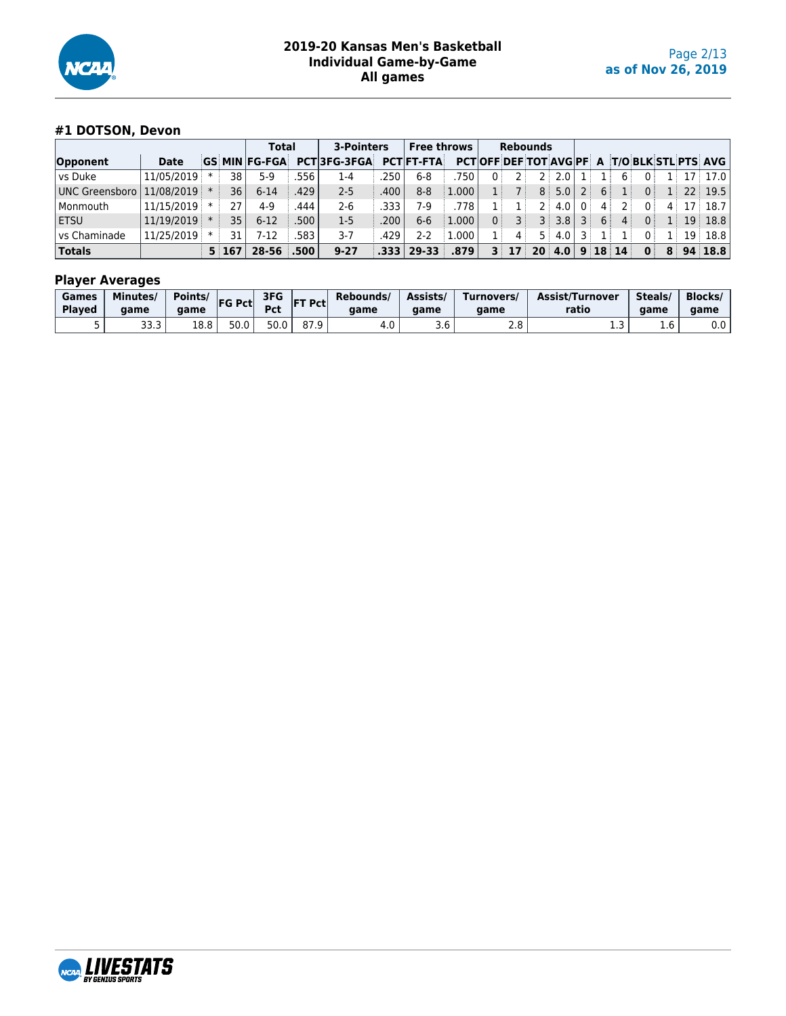

## **#1 DOTSON, Devon**

|                             |             |                 | <b>Total</b>         |      | 3-Pointers         |      | <b>Free throws</b> |       |    | <b>Rebounds</b> |                |                  |                |   |                 |                |                |    |                                              |
|-----------------------------|-------------|-----------------|----------------------|------|--------------------|------|--------------------|-------|----|-----------------|----------------|------------------|----------------|---|-----------------|----------------|----------------|----|----------------------------------------------|
| Opponent                    | <b>Date</b> |                 | <b>GS MIN FG-FGA</b> |      | <b>PCT3FG-3FGA</b> |      | <b>PCTIFT-FTA</b>  |       |    |                 |                |                  |                |   |                 |                |                |    | PCT OFF DEF TOT AVG PF A T/O BLK STL PTS AVG |
| l vs Duke                   | 11/05/2019  | 38              | 5-9                  | 556  | 1-4                | 250  | $6 - 8$            | 750   | 0: |                 | 2 <sup>1</sup> | 2.0              |                |   | 6               | $\mathbf{0}$   |                |    | $17$   17.0                                  |
| UNC Greensboro   11/08/2019 |             | 36 <sub>1</sub> | $6 - 14$             | 429  | $2 - 5$            | .400 | $8 - 8$            | 1.000 |    |                 |                | 8:5.0            |                | 6 | 1:              | 0 <sup>1</sup> | 1 <sup>1</sup> |    | $22$ 19.5                                    |
| Monmouth                    | 11/15/2019  | 27              | $4 - 9$              | 444  | $2 - 6$            | 333  | 7.9                | .778  |    |                 | 2 :            | 4.0              |                |   | 2 :             | $0^{\circ}$    | 4              |    | 17:18.7                                      |
| <b>ETSU</b>                 | 11/19/2019  | 35 <sub>1</sub> | $6-12$               | 500  | $1-5$              | .200 | $6 - 6$            | 1.000 |    | ∶ 3             |                | 3:3.8            | $\overline{3}$ | 6 | 4:              | 0:             |                | 19 | 18.8                                         |
| l vs Chaminade              | 11/25/2019  | 31              | 7-12                 | 583  | $3 - 7$            | 429  | 2-2                | 1.000 |    | $\mathbf{4}$    | 5 :            | 4.0 <sub>1</sub> |                |   |                 | n i            | 11             |    | $19$ 18.8                                    |
| <b>Totals</b>               |             | 5:167           | 28-56                | .500 | $9 - 27$           | .333 | $ 29-33 $          | .879' |    | 17              |                | $20 \, 4.0$      |                |   | $9 \; 18 \; 14$ | $\mathbf{0}$   | 8              |    | 94 18.8                                      |

| Games<br><b>Played</b> | Minutes/<br>aame | Points/<br>aame | <b>FG Pct</b> | 3FG<br><b>Pct</b> | <b>IFT Pctl</b> | Rebounds/<br>aame | Assists/<br>aame | Turnovers/<br>aame | Assist/Turnover<br>ratio | Steals/<br>aame                 | Blocks/<br>aame |
|------------------------|------------------|-----------------|---------------|-------------------|-----------------|-------------------|------------------|--------------------|--------------------------|---------------------------------|-----------------|
|                        | 33.3             | 18.8            | 50.0          | 50.0              | 87.9            | 4.0               | 3.O              | າ ໐<br>2.0         | <b></b>                  | $\overline{\phantom{a}}$<br>1.b | 0.0             |

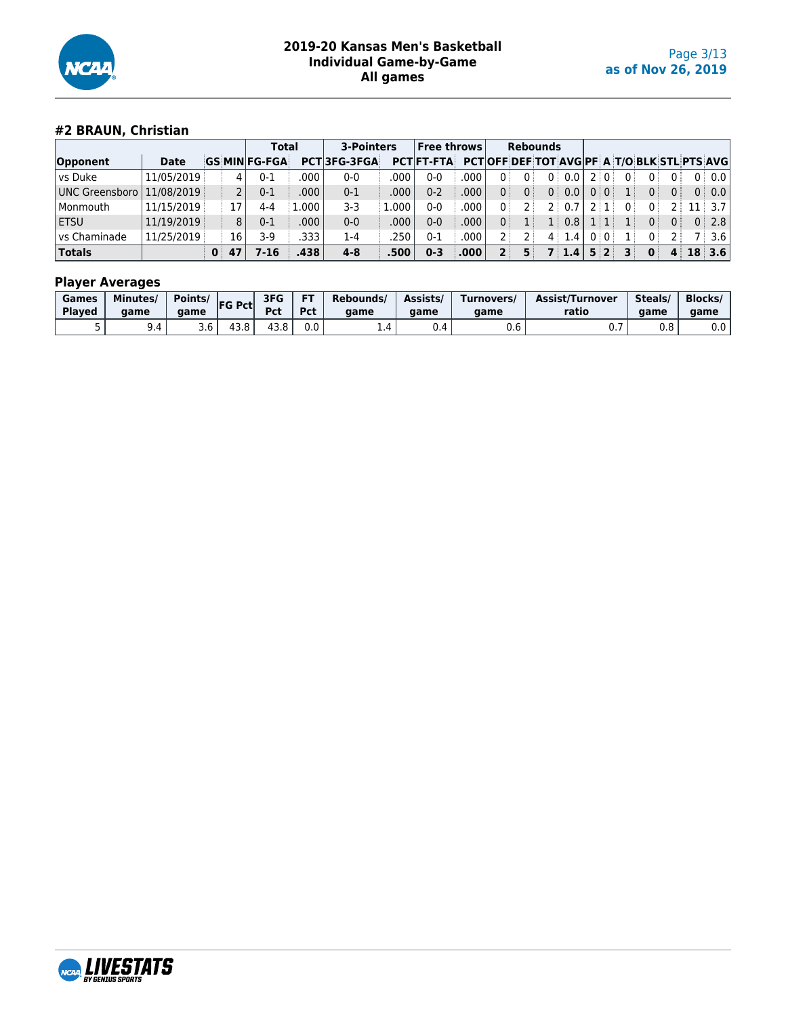

## **#2 BRAUN, Christian**

|                |             |              |                       | <b>Total</b> | 3-Pointers         |       | <b>Free throws</b> |       |                |             | <b>Rebounds</b> |       |                |                |                |                |                |                                                   |
|----------------|-------------|--------------|-----------------------|--------------|--------------------|-------|--------------------|-------|----------------|-------------|-----------------|-------|----------------|----------------|----------------|----------------|----------------|---------------------------------------------------|
| Opponent       | <b>Date</b> |              | <b>GS MIN FG-FGA</b>  |              | <b>PCT3FG-3FGA</b> |       | <b>PCT FT-FTA</b>  |       |                |             |                 |       |                |                |                |                |                | <b>PCTOFF DEF TOT AVGPF A T/O BLK STL PTS AVG</b> |
| vs Duke        | 11/05/2019  |              | 0-1<br>4              | .000         | $0 - 0$            | .000  | $0 - 0$            | .000  | $\Omega$ :     | $0^{\circ}$ | 0               | 0.01  |                | 2:0:           | 0 <sup>1</sup> | 0              |                | 0:0.0                                             |
| UNC Greensboro | 11/08/2019  |              | $\overline{2}$<br>0-1 | .000         | $0 - 1$            | .000  | $0 - 2$            | .000  | 0 <sup>1</sup> | 0           |                 | 0:0.0 | 0 <sup>1</sup> | $\overline{0}$ |                | 0              | 0 <sup>1</sup> | 0:0.0                                             |
| Monmouth       | 11/15/2019  |              | 17<br>4-4             | L.000 l      | $3-3$              | L.000 | $0 - 0$            | .000  | 0:             | つ!          | $2^+$           | 0.7   |                |                |                | 0 <sup>1</sup> |                | 3.7 <sub>1</sub>                                  |
| <b>ETSU</b>    | 11/19/2019  |              | 8<br>$0 - 1$          | .000         | $0 - 0$            | .000  | $0 - 0$            | .000. |                |             | 1:              | 0.8   |                |                |                | 0              | 0 <sup>1</sup> | 0:2.8                                             |
| vs Chaminade   | 11/25/2019  |              | 16<br>3-9             | .333         | 1-4                | .250  | $0 - 1$            | .000  |                |             |                 | 4:1.4 |                | 0:0            |                | 0              |                | 3.6                                               |
| <b>Totals</b>  |             | $\mathbf{0}$ | 7-16<br>47            | .438         | $4 - 8$            | .500' | $0 - 3$            | .000' | 2              |             |                 | 7:1.4 |                | 5:2            | 31             | $\mathbf{0}$   | $\overline{4}$ | $18 \mid 3.6 \mid$                                |

| Games         | Minutes/ | Points/ | $ FG$ Pct | 3FG        | <b>FT</b> | Rebounds/ | Assists/ | Turnovers/ | Assist/Turnover | Steals/ | <b>Blocks/</b> |
|---------------|----------|---------|-----------|------------|-----------|-----------|----------|------------|-----------------|---------|----------------|
| <b>Played</b> | aame     | aame    |           | <b>Pct</b> | Pct       | aame      | aame     | aame       | ratio           | aame    | aame           |
|               | 9.4      | 3.O     | 43.8      | 43.8       | 0.0       |           | υ.4      | 0.6        | $\mathsf{v}$ .  | 0.8     | 0.0            |

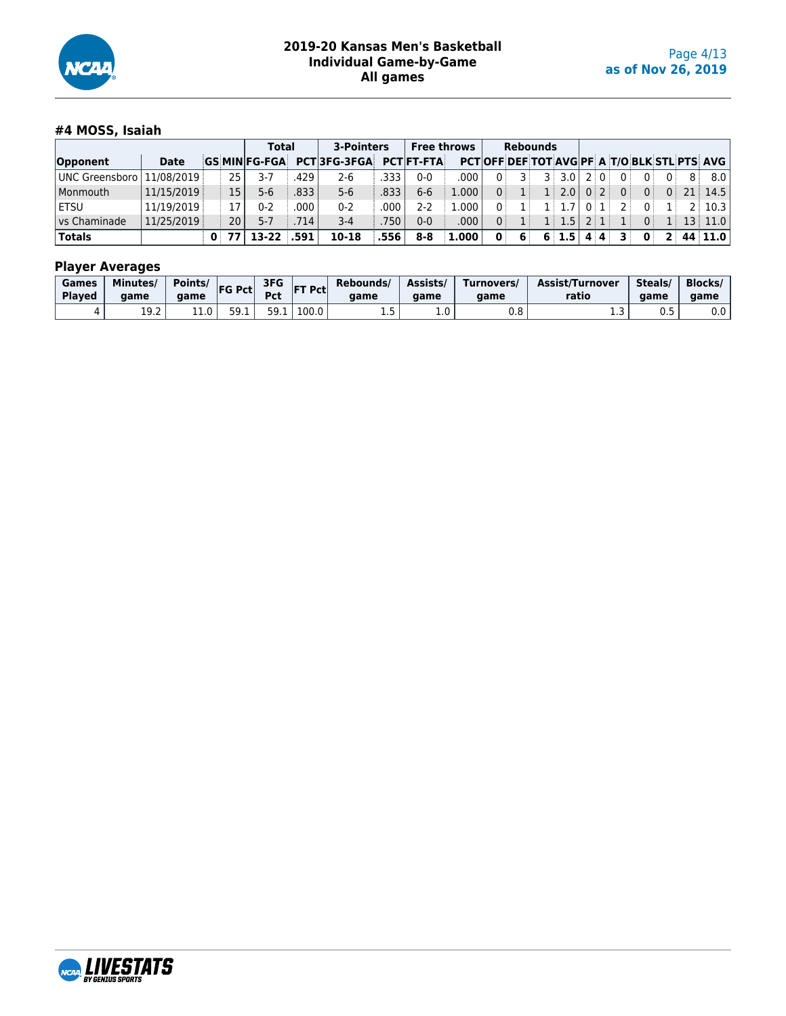

## **#4 MOSS, Isaiah**

|                |             |                 | <b>Total</b>        |       | 3-Pointers         |      | <b>Free throws</b> |       |              | <b>Rebounds</b> |                |                   |      |                 |     |                |                |   |                                            |
|----------------|-------------|-----------------|---------------------|-------|--------------------|------|--------------------|-------|--------------|-----------------|----------------|-------------------|------|-----------------|-----|----------------|----------------|---|--------------------------------------------|
| Opponent       | <b>Date</b> |                 | <b>GS MINFG-FGA</b> |       | <b>PCT3FG-3FGA</b> |      | <b>PCT FT-FTA</b>  |       |              |                 |                |                   |      |                 |     |                |                |   | PCTOFF DEF TOT AVGPF A T/O BLK STL PTS AVG |
| UNC Greensboro | 11/08/2019  | 25 l            | 3-7                 | 429   | $2 - 6$            | 333  | $0 - 0$            | .000  | $\Omega$     | ∃ 3             | $\overline{3}$ | 3.0               |      | 2:0:            | 0   | 0              | $0^{\circ}$    | 8 | 8.0                                        |
| l Monmouth     | 11/15/2019  | 15              | 5-6                 | .833  | $5 - 6$            | .833 | $6 - 6$            | 1.000 | 0:           | 1 <sup>1</sup>  |                | $1 \mid 2.0 \mid$ | 0:2: |                 | 0 : | 0 <sup>1</sup> | 0 <sup>1</sup> |   | $21 \mid 14.5 \mid$                        |
| ETSU           | 11/19/2019  | 17              | 0-2                 | .000  | $0 - 2$            | .000 | $2 - 2$            | 1.000 | $\Omega$ :   | 1:              |                |                   | 0:1  |                 | 21  | $\Omega$       | $\overline{1}$ |   | 2:10.3                                     |
| l vs Chaminade | 11/25/2019  | 20 <sup>1</sup> | $5 - 7$             | .714' | $3 - 4$            | 750  | $0 - 0$            | .000  | $\Omega$     | 1:              |                | 1:1.5             |      | $2 \mid 1 \mid$ | 1:  | 0 <sup>1</sup> | 111            |   | $13$ 11.0                                  |
| <b>Totals</b>  |             | 0:771           | 13-22 .591          |       | 10-18              | .556 | $8 - 8$            | 1.000 | $\mathbf{0}$ | 6               |                | $6 \mid 1.5 \mid$ | 4:4: |                 | 31  | $\mathbf{0}$   |                |   | 2   44   11.0                              |

| Games         | <b>Minutes</b> | Points/        | <b>FG Pct</b> | 3FG        | T Pct | Rebounds/ | Assists/ | Turnovers/ | Assist/Turnover | Steals/ | <b>Blocks/</b> |
|---------------|----------------|----------------|---------------|------------|-------|-----------|----------|------------|-----------------|---------|----------------|
| <b>Played</b> | aame           | aame           |               | <b>Pct</b> | lF.   | aame      | aame     | aame       | ratio           | aame    | game           |
| д.            | ר חי<br>ᅩᄀᆞ    | $11.0^{\circ}$ | 59<br>JJ.L    | 50.<br>.   | 100.0 | ---       | ⊥.∪      | 0.8        | .               | υ.υ     | 0.0            |

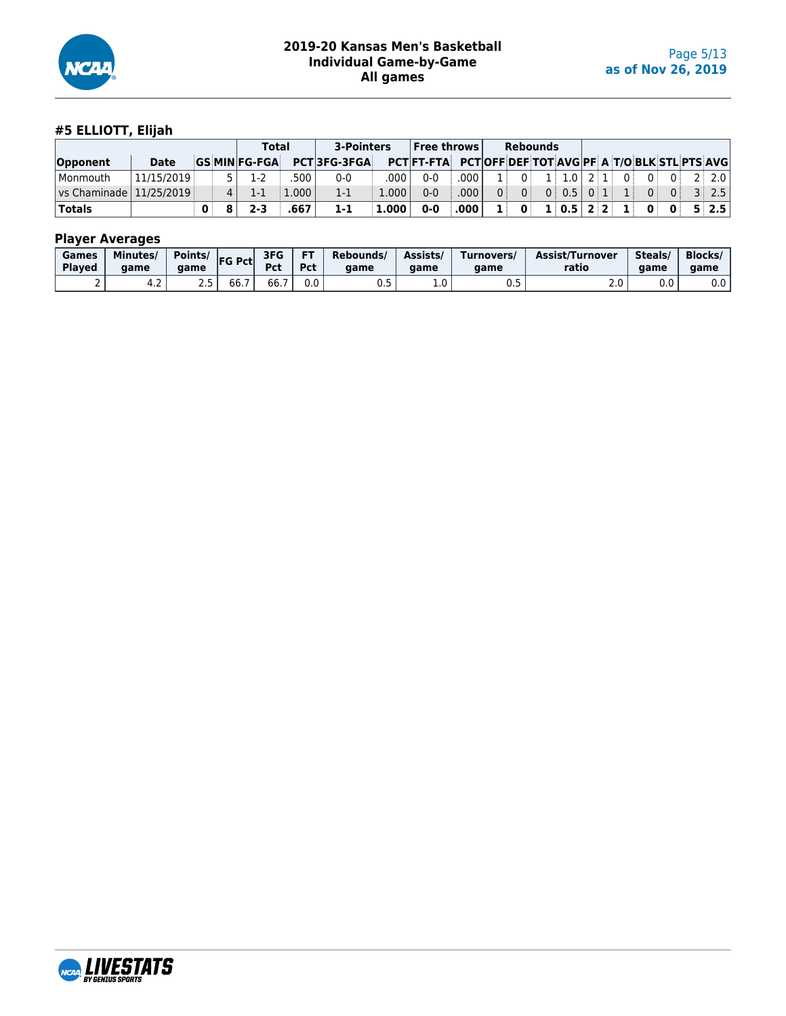

## **#5 ELLIOTT, Elijah**

|                       |            |              |          | <b>Total</b>        |       | 3-Pointers         |           | $ $ Free throws $ $                                     |             |                |                | <b>Rebounds</b> |                                 |  |       |          |                |                   |
|-----------------------|------------|--------------|----------|---------------------|-------|--------------------|-----------|---------------------------------------------------------|-------------|----------------|----------------|-----------------|---------------------------------|--|-------|----------|----------------|-------------------|
| Opponent              | Date       |              |          | <b>GS MINFG-FGA</b> |       | <b>PCT3FG-3FGA</b> |           | PCT FT-FTA PCT OFF DEF TOT AVG PF A T/O BLK STL PTS AVG |             |                |                |                 |                                 |  |       |          |                |                   |
| <sup>I</sup> Monmouth | 11/15/2019 |              |          | 1-2                 | 500   | $0 - 0$            | .000      | $0 - 0$                                                 | ا 000.      | 1 :            | 0 <sup>1</sup> |                 | $1 \mid 1.0 \mid 2 \mid 1 \mid$ |  | 0 i   | $0^+$    |                | $0$ 2 2 2.0       |
| $\sqrt{25/2019}$      |            |              | $\Delta$ | $1 - 1$             | 1.000 | $1 - 1$            | $1.000^+$ | 0-0                                                     | .000        | 0 <sup>1</sup> | 0 <sup>1</sup> |                 | $0 \mid 0.5 \mid 0 \mid 1 \mid$ |  | - 199 | $\Omega$ | $\overline{0}$ | 3 2.5             |
| Totals                |            | $\mathbf{0}$ |          | $2 - 3$             | .667  | $1 - 1$            | 1.000     | $0-0$                                                   | $.000 \,  $ | $\mathbf{1}$   | $\mathbf{0}$   |                 | 1 0.5 2 2 1 0 0                 |  |       |          |                | $5 \mid 2.5 \mid$ |

| Games         | Minutes/ | Points/  | <b>FG Pctl</b>       | 3FG            | FT  | Rebounds/  | Assists/      | Turnovers/ | <b>Assist/Turnover</b> | Steals/                 | <b>Blocks</b> |
|---------------|----------|----------|----------------------|----------------|-----|------------|---------------|------------|------------------------|-------------------------|---------------|
| <b>Played</b> | aame     | aame     |                      | Pct            | Pct | aame       | aame          | aame       | ratio                  | aame                    | aame          |
| -             | 4.Z      | <u>.</u> | $- -$<br><b>bb.,</b> | $\sim$<br>66.7 | 0.0 | <b>U.J</b> | $\sim$<br>⊥.∪ | ∪.J        | 2.0                    | $^{\sim}$ $\sim$<br>v.v | $0.0\,$       |

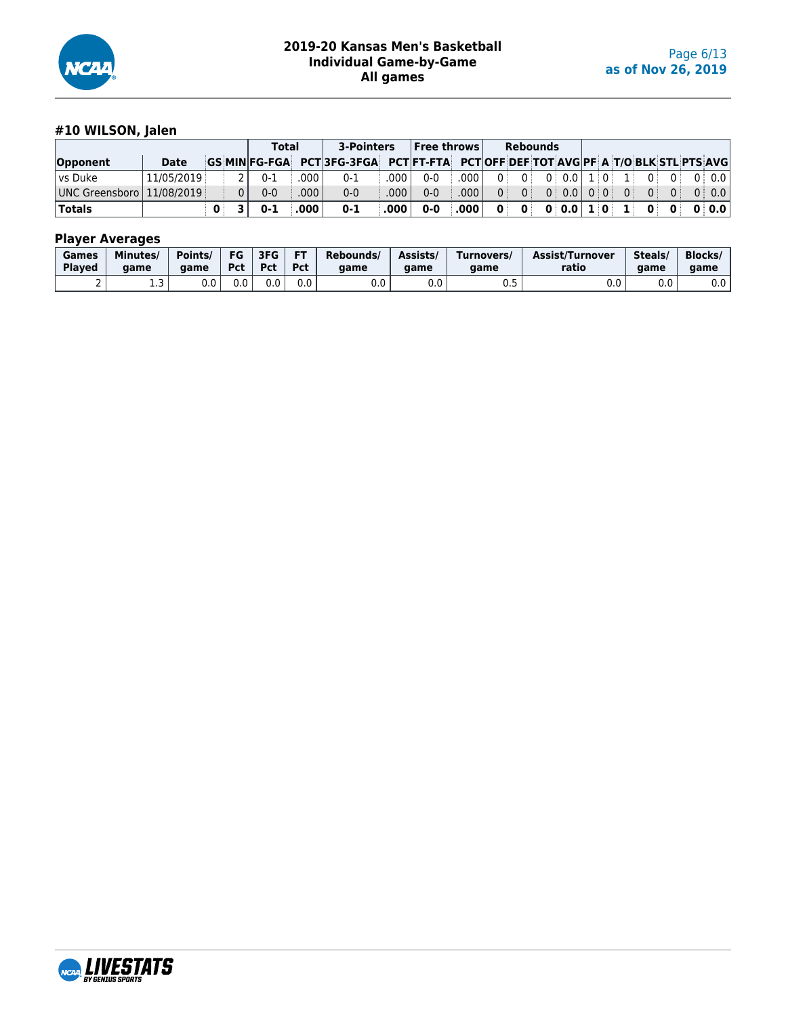

## **#10 WILSON, Jalen**

|                             |             |              |                | <b>Total</b> |      | 3-Pointers                                                                         |       | $ $ Free throws $ $ |        |              | <b>Rebounds</b> |               |  |              |                   |              |       |
|-----------------------------|-------------|--------------|----------------|--------------|------|------------------------------------------------------------------------------------|-------|---------------------|--------|--------------|-----------------|---------------|--|--------------|-------------------|--------------|-------|
| Opponent                    | <b>Date</b> |              |                |              |      | GS MIN FG-FGA PCT 3FG-3FGA PCT FT-FTA PCT OFF DEF TOT AVG PF A T/O BLK STL PTS AVG |       |                     |        |              |                 |               |  |              |                   |              |       |
| l vs Duke                   | 11/05/2019  |              |                | $0 - 1$      | 000  | 0-1                                                                                | .000  | $0 - 0$             | .000   | $\Omega$ :   | $\Omega$        | $0$ 0.0 1 0   |  | $\mathbf{1}$ | $\Omega$ :        | $\Omega$     | 0:0.0 |
| UNC Greensboro   11/08/2019 |             |              | 0 <sup>1</sup> | $0 - 0$      | 000. | $0 - 0$                                                                            | .000' | $0 - 0$             | .000   | $\Omega$ :   | $\overline{0}$  | 0:0.010:0     |  | $\Omega$     | $0^{\frac{1}{2}}$ | $\Omega$     | 0:0.0 |
| <b>Totals</b>               |             | $\mathbf{0}$ |                | $0 - 1$      | .000 | $0 - 1$                                                                            | .000  | $0-0$               | ∛ 000. | $\mathbf{0}$ | $\mathbf{0}$    | $0:0.0$ $1:0$ |  | $\mathbf{1}$ | $\mathbf{0}$      | $\mathbf{0}$ | 0:0.0 |

| Games  | <b>Minutes</b> | Points/ | FG         | 3FG | <b>FT</b> | Rebounds/ | Assists/             | Turnovers/ | Assist/Turnover | Steals/ | <b>Blocks</b> |
|--------|----------------|---------|------------|-----|-----------|-----------|----------------------|------------|-----------------|---------|---------------|
| Played | aame           | aame    | <b>Pct</b> | Pct | Pct       | aame      | aame                 | aame       | ratio           | aame    | aame          |
|        | ر              | v.v     | 0.0        | v.v | 0.0       | 0.0       | $\sim$ $\sim$<br>v.v | ∪.J        | v.v             | 0.0     | $0.0\,$       |

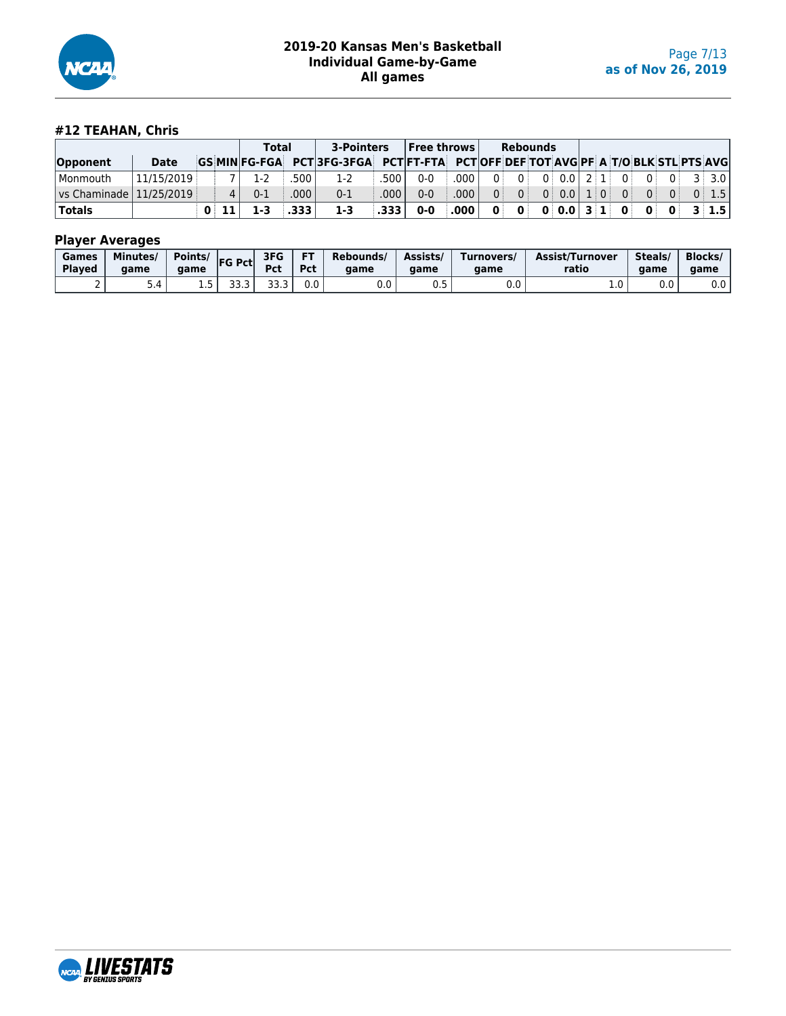

## **#12 TEAHAN, Chris**

|                           |            |             | Total   |        | <b>3-Pointers</b>                                                                  |        | $ $ Free throws $ $ |              |                | <b>Rebounds</b> |                                   |  |                |       |                       |
|---------------------------|------------|-------------|---------|--------|------------------------------------------------------------------------------------|--------|---------------------|--------------|----------------|-----------------|-----------------------------------|--|----------------|-------|-----------------------|
| Opponent                  | Date       |             |         |        | GS MIN FG-FGA PCT 3FG-3FGA PCT FT-FTA PCT OFF DEF TOT AVG PF A T/O BLK STL PTS AVG |        |                     |              |                |                 |                                   |  |                |       |                       |
| l Monmouth                | 11/15/2019 |             | $1-2$   | ا 500. | $1-2$                                                                              | .500 l | $0 - 0$             | ا 000.       | n i            | 0 <sup>1</sup>  | $0 \mid 0.0 \mid 2 \mid 1 \mid 0$ |  | $\overline{0}$ |       | $0 \quad 3 \quad 3.0$ |
| vs Chaminade   11/25/2019 |            | $\vert$     | $0 - 1$ | .000   | $0 - 1$                                                                            | .000   | $0 - 0$             | .000         | 0 <sup>1</sup> | 0 <sup>1</sup>  | 0   0.0   1   0   0               |  | $\overline{0}$ | $0^+$ | 0:1.5                 |
| <b>Totals</b>             |            | $0 \mid 11$ |         | . 333  | $1 - 3$                                                                            | .333   | $0 - 0$             | $.000 \, \,$ | $\mathbf{0}$   |                 | 0 0 0 0 3 1 0 0 0 3 1 5           |  |                |       |                       |

| Games         | Minutes/ | Points/ | <b>FG Pct</b> | 3FG                    | FT  | Rebounds/ | Assists/ | Turnovers/ | <b>Assist/Turnover</b> | Steals/ | <b>Blocks</b> |
|---------------|----------|---------|---------------|------------------------|-----|-----------|----------|------------|------------------------|---------|---------------|
| <b>Played</b> | aame     | aame    |               | Pct                    | Pct | aame      | aame     | game       | ratio                  | aame    | aame          |
|               | D.4      | ---     | --<br>JJ.J    | <b></b><br><u>JJ.J</u> | 0.0 | 0.0       | ◡.◡      | 0.0        | 1.0                    | 0.0     | $0.0\,$       |

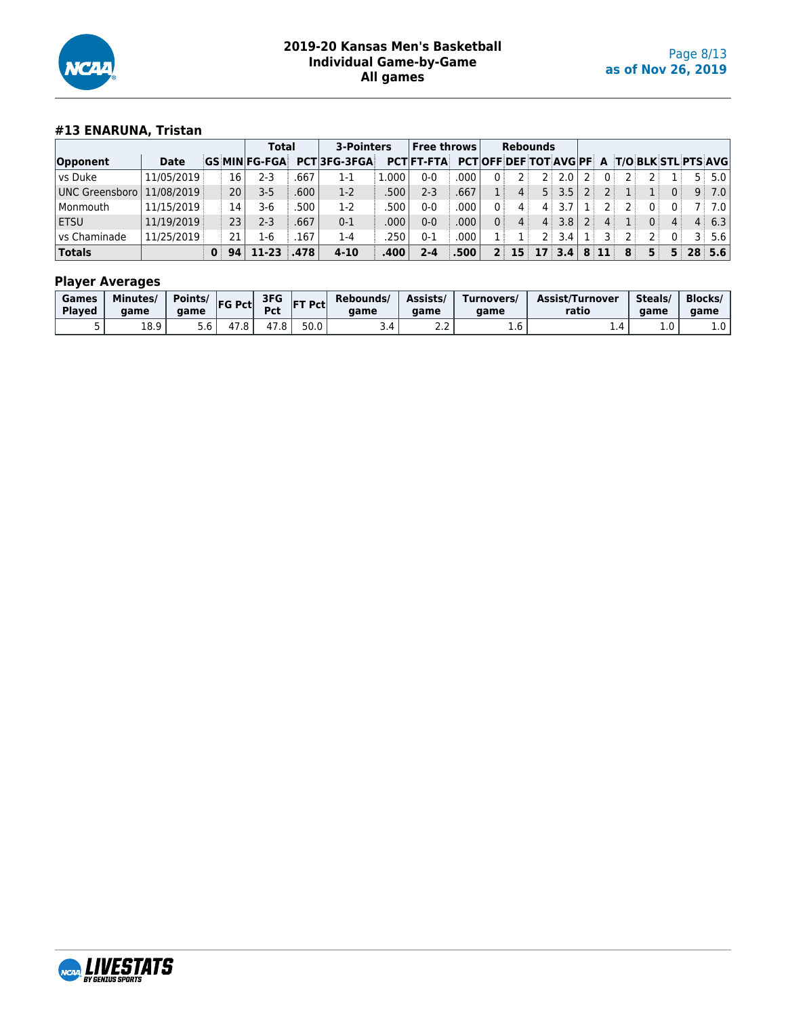

## **#13 ENARUNA, Tristan**

|                |             |    | Total                |        | 3-Pointers         |        | Free throws       |                   | <b>Rebounds</b>                                     |                            |       |      |   |   |                |          |             |              |
|----------------|-------------|----|----------------------|--------|--------------------|--------|-------------------|-------------------|-----------------------------------------------------|----------------------------|-------|------|---|---|----------------|----------|-------------|--------------|
| Opponent       | <b>Date</b> |    | <b>GS MIN FG-FGA</b> |        | <b>PCT3FG-3FGA</b> |        | <b>PCTIFT-FTA</b> |                   | <b>PCTOFF DEF TOT AVGIPF A T/O BLK STL PTS AVGI</b> |                            |       |      |   |   |                |          |             |              |
| l vs Duke      | 11/05/2019  |    | 16<br>$2 - 3$        | .667   | 1-1                | .000.  | 0-0               | .000              | 0                                                   | 2 :                        | 2.0   |      | 0 |   |                |          | 5 :         | 5.0          |
| UNC Greensboro | 11/08/2019  |    | 20 l<br>$3 - 5$      | ا 600. | $1-2$              | .500 l | $2-3$             | .667              | 1 :<br>4                                            |                            | 5:3.5 |      |   |   |                | $\Omega$ |             | 9:7.0        |
| l Monmouth     | 11/15/2019  |    | 14<br>3-6            | 500    | $1-2$              | 500    | 0-0               | 000               | 0<br>4                                              | 4                          |       |      |   |   | 0 <sup>1</sup> |          | $7^{\circ}$ | 7.0          |
| l ETSU         | 11/19/2019  |    | 23 I<br>2-3          | .667   | $0 - 1$            | .000   | 0-0               | 000.              | 0 <sup>1</sup><br>4                                 | 4 <sup>1</sup>             | 3.8   |      | 4 |   | 0:             | 4        |             | $4 \t6.3$    |
| l vs Chaminade | 11/25/2019  |    | 21<br>L-6            | .167   | $1 - 4$            | 250    | 0-1               | .000              | 1 :                                                 |                            | 3.4   |      |   |   |                |          |             | $3 \div 5.6$ |
| <b>Totals</b>  |             | 94 | $11-23$              | .478   | $4 - 10$           | .400   | 2-4               | .500 <sup>1</sup> | 2 <sup>1</sup>                                      | $15 \mid 17 \mid 3.4 \mid$ |       | 8:11 |   | 8 | 5:             | 5        |             | 28:5.6       |

| Games<br><b>Plaved</b> | <b>Minutes</b><br>aame | Points/<br>aame | <b>FG Pctl</b> | 3FG<br><b>Pct</b> | <b>IFT Pctl</b> | Rebounds/<br>aame | Assists/<br>aame | Turnovers/<br>aame | Assist/Turnover<br>ratio | Steals/<br>aame | <b>Blocks/</b><br>aame |
|------------------------|------------------------|-----------------|----------------|-------------------|-----------------|-------------------|------------------|--------------------|--------------------------|-----------------|------------------------|
|                        | 1 R Q<br>10.Y          | o.c             | 4              | 47.8              | 50.0            | 3.4               | <u>.</u>         | T.O                | .                        | $\sim$<br>1.U   | 1.U                    |

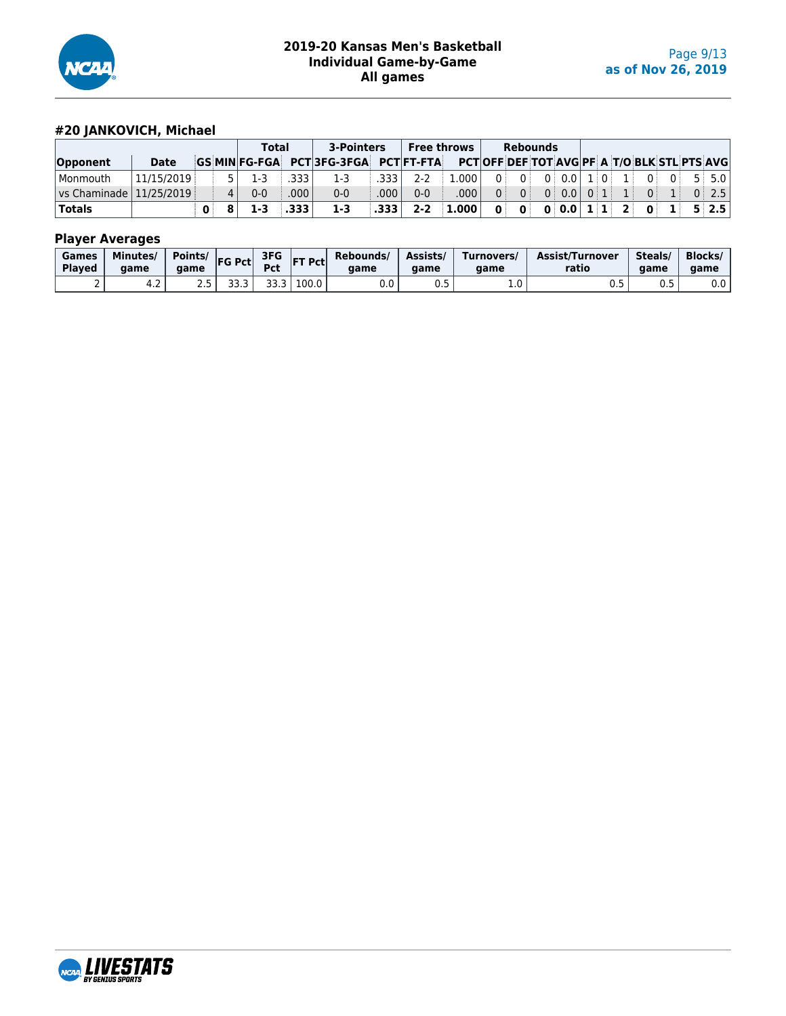

## **#20 JANKOVICH, Michael**

|                  |            |              | <b>Total</b> |       | 3-Pointers                                                                         |      | <b>Free throws</b> |                      |            | <b>Rebounds</b> |                 |     |                |              |              |       |
|------------------|------------|--------------|--------------|-------|------------------------------------------------------------------------------------|------|--------------------|----------------------|------------|-----------------|-----------------|-----|----------------|--------------|--------------|-------|
| Opponent         | Date       |              |              |       | GS MIN FG-FGA PCT 3FG-3FGA PCT FT-FTA PCT OFF DEF TOT AVG PF A T/O BLK STL PTS AVG |      |                    |                      |            |                 |                 |     |                |              |              |       |
| l Monmouth       | 11/15/2019 |              | 1-3          | .333  | 1-3                                                                                | .333 | $2 - 2$            | $1.000^+$            | n i        | $0^+$           | 0:0.0           | 1:0 |                | $\Omega$     | $\Omega$     | 5:5.0 |
| $\sqrt{25/2019}$ |            |              | $0 - 0$      | 000   | $0 - 0$                                                                            | .000 | $0 - 0$            | .000                 | $\Omega$ : | 0 <sup>1</sup>  | 0:0.0           | 0:1 |                | $\Omega$     |              | 0:2.5 |
| <b>Totals</b>    |            | $\mathbf{0}$ |              | - 333 | $1 - 3$                                                                            | .333 | $2 - 2$            | $\blacksquare$ 1.000 | 0.         | $\mathbf{0}^+$  | 0   0.0   1   1 |     | $\overline{2}$ | $\mathbf{0}$ | $\mathbf{1}$ | 5:2.5 |

| Games<br><b>Played</b> | Minutes/<br>aame | Points/<br>aame | <b>FG Pct</b> | 3FG<br><b>Pct</b> | <b>FT Pctl</b> | Rebounds/<br>aame | Assists/<br>aame | Turnovers/<br>game | Assist/Turnover<br>ratio | Steals<br>game | <b>Blocks/</b><br>game |
|------------------------|------------------|-----------------|---------------|-------------------|----------------|-------------------|------------------|--------------------|--------------------------|----------------|------------------------|
|                        | 4.Z              | <u>.</u>        | <br>JJ.J      | JJ.J              | 100.0          | v.v               | 0 F<br>∪.J       | 1.0                | ◡.◡                      | U.J            | $0.0\,$                |

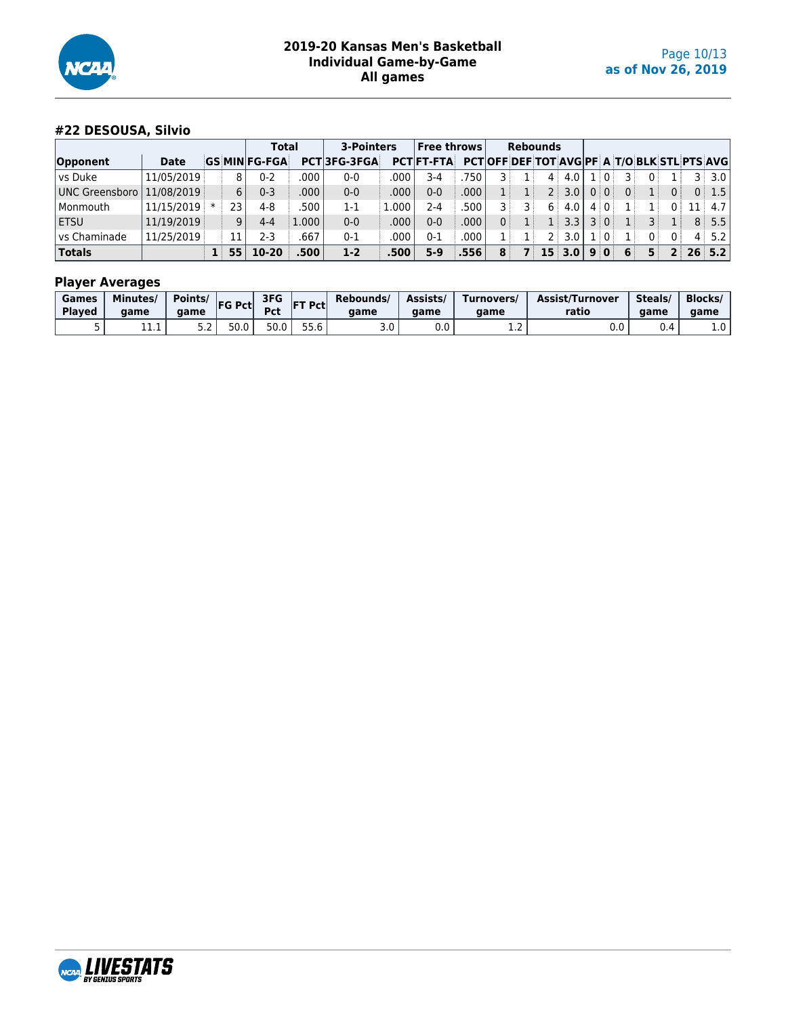

## **#22 DESOUSA, Silvio**

|                |              |     |    | <b>Total</b>        |                   | 3-Pointers         |       | <b>Free throws</b> |       |   | <b>Rebounds</b> |                      |                |                  |    |     |       |     |                                                   |
|----------------|--------------|-----|----|---------------------|-------------------|--------------------|-------|--------------------|-------|---|-----------------|----------------------|----------------|------------------|----|-----|-------|-----|---------------------------------------------------|
| Opponent       | <b>Date</b>  |     |    | <b>GS MINFG-FGA</b> |                   | <b>PCT3FG-3FGA</b> |       | <b>PCTIFT-FTA</b>  |       |   |                 |                      |                |                  |    |     |       |     | <b>PCTOFF DEF TOT AVGPF A T/O BLK STL PTS AVG</b> |
| vs Duke        | 11/05/2019   |     | 8  | $0 - 2$             | .000              | $0 - 0$            | .000  | $3-4$              | 750   |   | 4               | 4.0                  |                | $\pm 0$          |    | 0 i |       | 3 : | 3.0                                               |
| UNC Greensboro | 11/08/2019   |     | 6  | 0-3                 | .000              | $0 - 0$            | .000  | 0-0                | .000. |   | 2 :             | $3.0^{\circ}$        | 0 <sup>1</sup> | $\overline{0}$ : | 0: |     |       |     | 0:1.5                                             |
| Monmouth       | 11/15/2019 * |     | 23 | 4-8                 | .500              | $1-1$              | L.000 | 2-4                | 500   |   | 6               | 4.0                  |                | 4 0              |    | 1 : |       |     | 4.7 <sub>1</sub>                                  |
| <b>ETSU</b>    | 11/19/2019   |     | 9  | 4-4                 | l.000 l           | $0 - 0$            | .000  | $0 - 0$            | .000  |   |                 | $1 \,   \, 3.3 \,  $ | $\overline{3}$ | $\Omega$         |    |     |       |     | 8:5.5                                             |
| l vs Chaminade | 11/25/2019   |     | 11 | 2-3                 | .667              | $0 - 1$            | .000  | 0-1                | .000  |   | 2 :             | 3.0                  |                |                  |    | 0   |       |     | 4:5.2                                             |
| <b>Totals</b>  |              | 1 : | 55 | $10-20$             | .500 <sup>1</sup> | $1 - 2$            | .500' | $5-9$              | .556  | 8 |                 | $15 \, 3.0$          |                | 90               | 6  | 5.  | $2^+$ |     | $26 \mid 5.2 \mid$                                |

| Games<br><b>Played</b> | <b>Minutes/</b><br>aame | Points/<br>aame | <b>FG Pctl</b> | 3FG<br>Pct | <b>IFT Pctl</b> | Rebounds/<br>aame | Assists/<br>aame | Turnovers/<br>aame | Assist/Turnover<br>ratio | Steals/<br>aame | <b>Blocks/</b><br>aame |
|------------------------|-------------------------|-----------------|----------------|------------|-----------------|-------------------|------------------|--------------------|--------------------------|-----------------|------------------------|
| ◡                      | +++                     | ے.د             | 50.0           | 50.0       | 55.6            | 3.0               | v.v              | ᆠ                  | 0.0                      | 0.4             | $1.0\,$                |

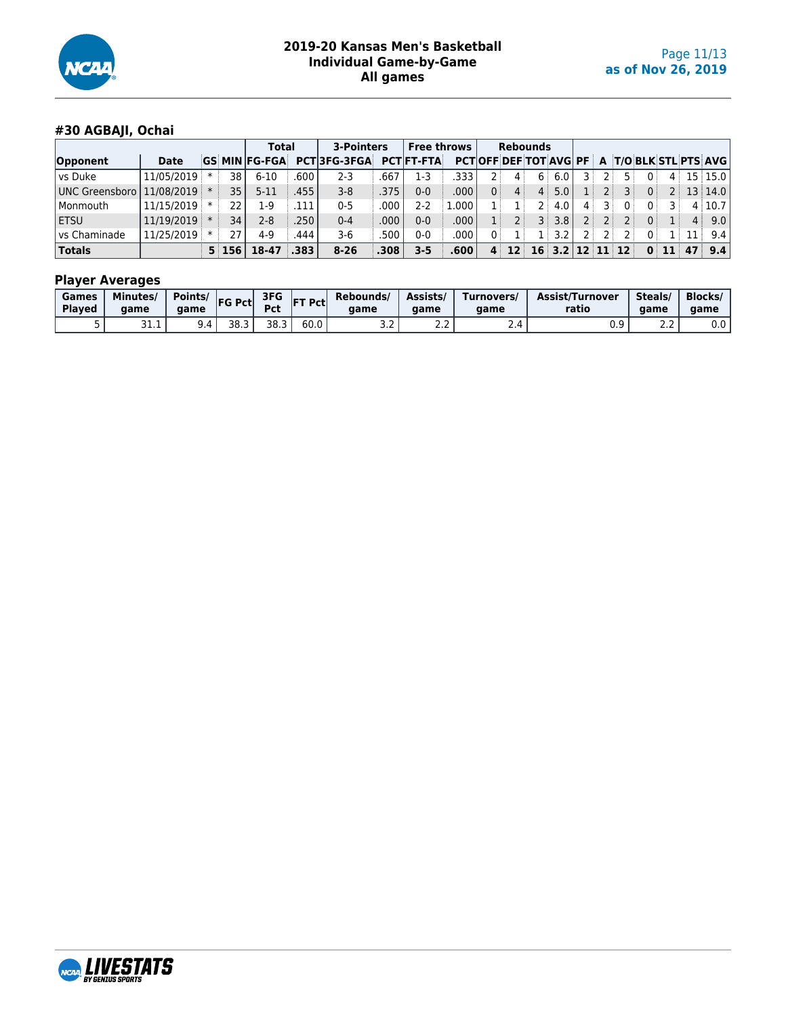

## **#30 AGBAJI, Ochai**

|                             |            |       | <b>Total</b>         |      | 3-Pointers         |       | <b>Free throws</b> |       |    |                 | <b>Rebounds</b> |                    |            |     |          |          |                |      |                                                    |
|-----------------------------|------------|-------|----------------------|------|--------------------|-------|--------------------|-------|----|-----------------|-----------------|--------------------|------------|-----|----------|----------|----------------|------|----------------------------------------------------|
| Opponent                    | Date       |       | <b>GS MIN FG-FGA</b> |      | <b>PCT3FG-3FGA</b> |       | <b>PCTIFT-FTA</b>  |       |    |                 |                 |                    |            |     |          |          |                |      | <b>PCTOFF DEF TOT AVG PF A T/O BLK STL PTS AVG</b> |
| vs Duke                     | 11/05/2019 | 38    | $6 - 10$             | 600  | 2-3                | .667  | 1-3                | .333  |    | $\mathbf{4}$    | 6               | 6.0                | ঽ৾         | 2 : | 51       | $\Omega$ | $\mathbf{4}$   |      | 15 15.0                                            |
| UNC Greensboro   11/08/2019 |            | 35    | $5 - 11$             | .455 | $3 - 8$            | .375  | $0 - 0$            | .000  | 0  | $\mathbf{4}$    | 4 <sup>1</sup>  | 5.0 <sup>1</sup>   |            | 2 : | 31       | 0:       | 2 <sup>1</sup> |      | 13 14.0                                            |
| Monmouth                    | 11/15/2019 | 22    | 1-9                  | 111  | $0 - 5$            | .000  | $2 - 2$            | 1.000 |    |                 | 2 :             | 4.0                | 4 :        |     | $\Omega$ | 0 :      |                |      | 4 10.7                                             |
| <b>ETSU</b>                 | 11/19/2019 | 34    | 2-8                  | 250  | $0 - 4$            | .000. | $0 - 0$            | .000. |    |                 | 3 i             | 3.8                | 2:         | 2 : |          | 0:       |                | 4:   | 9.0                                                |
| l vs Chaminade              | 11/25/2019 | 27    | 4-9                  | 444  | $3-6$              | .500  | $0-0$              | .000  | 0: |                 | 1 :             | 3.2                |            | 2 : |          | 0:       |                | 11 : | 9.4                                                |
| <b>Totals</b>               |            | 5:156 | 18-47                | .383 | $8 - 26$           | .308  | $3 - 5$            | .600  | 4  | 12 <sup>1</sup> |                 | $16 \mid 3.2 \mid$ | $12$ 11 12 |     |          |          | 11             | 47   | 9.4                                                |

| Games<br><b>Played</b> | <b>Minutes</b><br>aame | Points/<br>aame | <b>FG Pct</b> | 3FG<br>Pct | <b>IFT Pcti</b> | Rebounds/<br>aame      | Assists/<br>aame | Turnovers/<br>qame         | <b>Assist/Turnover</b><br>ratio | Steals/<br>game      | <b>Blocks/</b><br>aame |
|------------------------|------------------------|-----------------|---------------|------------|-----------------|------------------------|------------------|----------------------------|---------------------------------|----------------------|------------------------|
|                        | 31.1                   | 9.4             | 38.3          | 38.3       | 60.0            | $\sim$ $\sim$<br>ے ، ب | ے ، د            | $\sim$ . The set of $\sim$ | <b>v.s</b>                      | $\sim$ $\sim$<br>ے ۔ | 0.0                    |

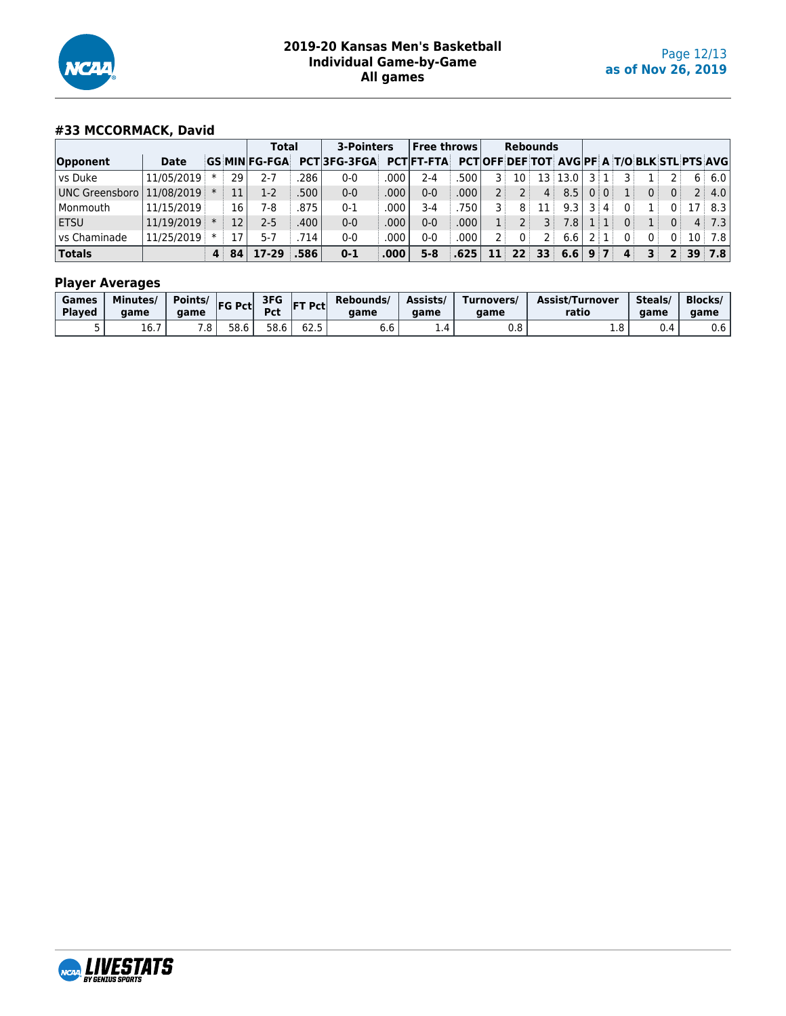

## **#33 MCCORMACK, David**

|                                 |              |  | <b>Total</b> |                     | 3-Pointers        |                    | Free throws |                   |      | <b>Rebounds</b> |                        |                |         |                                                         |              |                                                     |                |              |                    |
|---------------------------------|--------------|--|--------------|---------------------|-------------------|--------------------|-------------|-------------------|------|-----------------|------------------------|----------------|---------|---------------------------------------------------------|--------------|-----------------------------------------------------|----------------|--------------|--------------------|
| Opponent                        | <b>Date</b>  |  |              | <b>GS MINFG-FGA</b> |                   | <b>PCT3FG-3FGA</b> |             | <b>PCTIFT-FTA</b> |      |                 |                        |                |         |                                                         |              | <b>PCTOFF DEF TOT AVGIPF A T/O BLK STL PTS AVGI</b> |                |              |                    |
| vs Duke                         | 11/05/2019 * |  | 29           | $7 - 7$             | 286               | $0-0$              | .000        | 2-4               | 500  | 3 :             | $10^{\circ}$           |                | 13 13.0 | 3 1                                                     | ঽ৾           |                                                     |                |              | 6:6.0              |
| UNC Greensboro   11/08/2019   * |              |  | 11           | 1-2                 | .500 <sup>1</sup> | $0 - 0$            | .000        | $0 - 0$           | .000 | $2$ :           |                        | $\overline{4}$ | 8.5     | 0:0:                                                    |              | 0 <sup>1</sup>                                      | $0^{\circ}$    |              | 2:4.0              |
| Monmouth                        | 11/15/2019   |  | 16           | 7-8                 | 875               | $0 - 1$            | .000        | $3-4$             | 750  |                 | 8                      | 11             | 9.3     | $3 \mid 4 \mid$                                         | $0^{\circ}$  | 1                                                   | 0              |              | $17 \mid 8.3 \mid$ |
| <b>ETSU</b>                     | 11/19/2019 * |  | 12           | 2-5                 | .400              | $0 - 0$            | .000        | 0-0               | .000 | 1:              |                        | $\overline{3}$ | 7.8     | $\smallsetminus\textcolor{red}{11}$ in $\smallsetminus$ | $\Omega$ :   | $\mathbf{1}$                                        | 0 <sup>1</sup> |              | $4$ 7.3            |
| <sup>1</sup> vs Chaminade       | 11/25/2019   |  | 17           | $5 - 7$             | 714               | $0-0$              | .000        | 0-0               | .000 | 2 i             | 0:                     |                | 6.6     | $2 \mid 1 \mid$                                         | $\Omega$     | 0:                                                  | 0              | $10^{\circ}$ | 7.8                |
| <b>Totals</b>                   |              |  | 4 84         | 17-29 .586          |                   | $0 - 1$            | .000        | $5 - 8$           | .625 |                 | $11 \quad 22 \quad 33$ |                | 6.6     | $9 \mid 7 \mid$                                         | $\mathbf{A}$ | 31                                                  |                |              | $2 \, 39 \, 7.8$   |

| Games<br><b>Plaved</b> | Minutes/<br>qame | Points/<br>aame | <b>FG Pctl</b> | 3FG<br>Pct | <b>IFT Pctl</b>      | Rebounds/<br>aame | Assists/<br>aame | Turnovers/<br>aame | <b>Assist/Turnover</b><br>ratio | Steals/<br>aame | <b>Blocks/</b><br>aame |
|------------------------|------------------|-----------------|----------------|------------|----------------------|-------------------|------------------|--------------------|---------------------------------|-----------------|------------------------|
| ◡                      | $ -$<br>10.7     | . ن             | 58.6           | 58.6       | <b>COLE</b><br>ر . ے | b.b               | $\pm .4$         | v.o                | ⊥.∪                             | 0.4             | J.b                    |